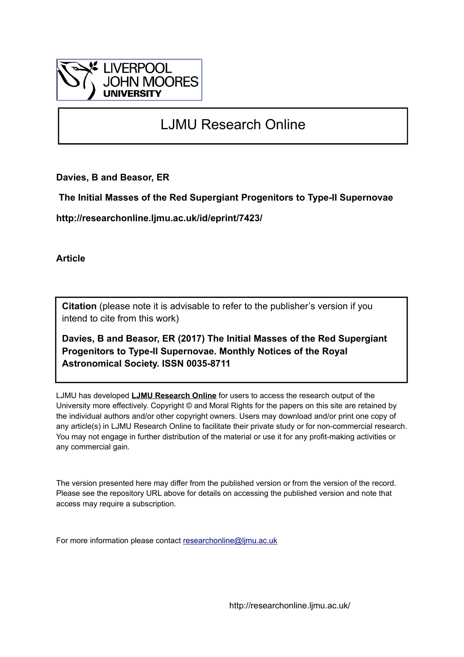

# LJMU Research Online

**Davies, B and Beasor, ER**

 **The Initial Masses of the Red Supergiant Progenitors to Type-II Supernovae**

**http://researchonline.ljmu.ac.uk/id/eprint/7423/**

**Article**

**Citation** (please note it is advisable to refer to the publisher's version if you intend to cite from this work)

**Davies, B and Beasor, ER (2017) The Initial Masses of the Red Supergiant Progenitors to Type-II Supernovae. Monthly Notices of the Royal Astronomical Society. ISSN 0035-8711** 

LJMU has developed **[LJMU Research Online](http://researchonline.ljmu.ac.uk/)** for users to access the research output of the University more effectively. Copyright © and Moral Rights for the papers on this site are retained by the individual authors and/or other copyright owners. Users may download and/or print one copy of any article(s) in LJMU Research Online to facilitate their private study or for non-commercial research. You may not engage in further distribution of the material or use it for any profit-making activities or any commercial gain.

The version presented here may differ from the published version or from the version of the record. Please see the repository URL above for details on accessing the published version and note that access may require a subscription.

For more information please contact [researchonline@ljmu.ac.uk](mailto:researchonline@ljmu.ac.uk)

http://researchonline.ljmu.ac.uk/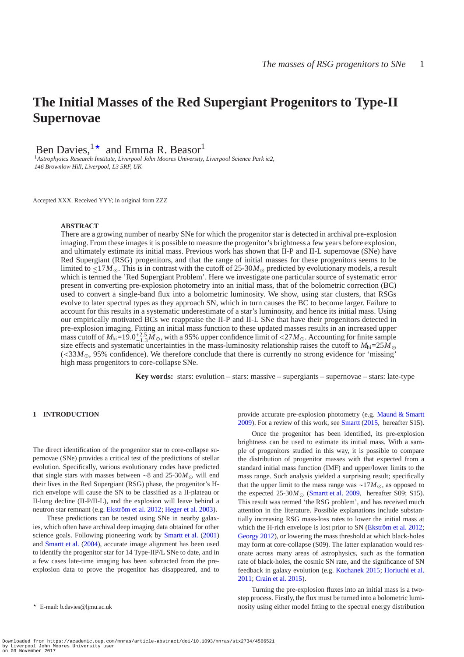# **The Initial Masses of the Red Supergiant Progenitors to Type-II Supernovae**

Ben Davies,  $1\star$  and Emma R. Beasor

<sup>1</sup>*Astrophysics Research Institute, Liverpool John Moores University, Liverpool Science Park ic2, 146 Brownlow Hill, Liverpool, L3 5RF, UK*

Accepted XXX. Received YYY; in original form ZZZ

# **ABSTRACT**

There are a growing number of nearby SNe for which the progenitor star is detected in archival pre-explosion imaging. From these images it is possible to measure the progenitor's brightness a few years before explosion, and ultimately estimate its initial mass. Previous work has shown that II-P and II-L supernovae (SNe) have Red Supergiant (RSG) progenitors, and that the range of initial masses for these progenitors seems to be limited to ∼ <17*M*⊙. This is in contrast with the cutoff of 25-30*M*⊙ predicted by evolutionary models, a result which is termed the 'Red Supergiant Problem'. Here we investigate one particular source of systematic error present in converting pre-explosion photometry into an initial mass, that of the bolometric correction (BC) used to convert a single-band flux into a bolometric luminosity. We show, using star clusters, that RSGs evolve to later spectral types as they approach SN, which in turn causes the BC to become larger. Failure to account for this results in a systematic underestimate of a star's luminosity, and hence its initial mass. Using our empirically motivated BCs we reappraise the II-P and II-L SNe that have their progenitors detected in pre-explosion imaging. Fitting an initial mass function to these updated masses results in an increased upper mass cutoff of  $M_{\text{hi}} = 19.0_{-1.3}^{+2.5} M_{\odot}$ , with a 95% upper confidence limit of <27 $M_{\odot}$ . Accounting for finite sample size effects and systematic uncertainties in the mass-luminosity relationship raises the cutoff to  $M_{\text{hi}}=25M_{\odot}$  $(<$ 33 $M_{\odot}$ , 95% confidence). We therefore conclude that there is currently no strong evidence for 'missing' high mass progenitors to core-collapse SNe.

**Key words:** stars: evolution – stars: massive – supergiants – supernovae – stars: late-type

# **1 INTRODUCTION**

The direct identification of the progenitor star to core-collapse supernovae (SNe) provides a critical test of the predictions of stellar evolution. Specifically, various evolutionary codes have predicted that single stars with masses between ∼8 and 25-30*M*<sup>⊙</sup> will end their lives in the Red Supergiant (RSG) phase, the progenitor's Hrich envelope will cause the SN to be classified as a II-plateau or II-long decline (II-P/II-L), and the explosion will leave behind a neutron star remnant (e.g. [Ekström et al. 2012](#page-12-0); [Heger et al. 2003](#page-13-0)).

These predictions can be tested using SNe in nearby galaxies, which often have archival deep imaging data obtained for other science goals. Following pioneering work by [Smartt et al.](#page-13-1) [\(2001](#page-13-1)) and [Smartt et al.](#page-13-2) [\(2004](#page-13-2)), accurate image alignment has been used to identify the progenitor star for 14 Type-IIP/L SNe to date, and in a few cases late-time imaging has been subtracted from the preexplosion data to prove the progenitor has disappeared, and to provide accurate pre-explosion photometry (e.g. [Maund & Smartt](#page-13-3) [2009](#page-13-3)). For a review of this work, see [Smartt](#page-13-4) [\(2015,](#page-13-4) hereafter S15).

Once the progenitor has been identified, its pre-explosion brightness can be used to estimate its initial mass. With a sample of progenitors studied in this way, it is possible to compare the distribution of progenitor masses with that expected from a standard initial mass function (IMF) and upper/lower limits to the mass range. Such analysis yielded a surprising result; specifically that the upper limit to the mass range was ∼17*M*⊙, as opposed to the expected  $25-30M_{\odot}$  [\(Smartt et al. 2009](#page-13-5), hereafter S09; S15). This result was termed 'the RSG problem', and has received much attention in the literature. Possible explanations include substantially increasing RSG mass-loss rates to lower the initial mass at which the H-rich envelope is lost prior to SN [\(Ekström et al. 2012;](#page-12-0) [Georgy 2012\)](#page-13-6), or lowering the mass threshold at which black-holes may form at core-collapse (S09). The latter explanation would resonate across many areas of astrophysics, such as the formation rate of black-holes, the cosmic SN rate, and the significance of SN feedback in galaxy evolution (e.g. [Kochanek 2015](#page-13-7); [Horiuchi et al.](#page-13-8) [2011](#page-13-8); [Crain et al. 2015](#page-12-1)).

Turning the pre-explosion fluxes into an initial mass is a twostep process. Firstly, the flux must be turned into a bolometric luminosity using either model fitting to the spectral energy distribution

 $\star$  E-mail: b.davies@ljmu.ac.uk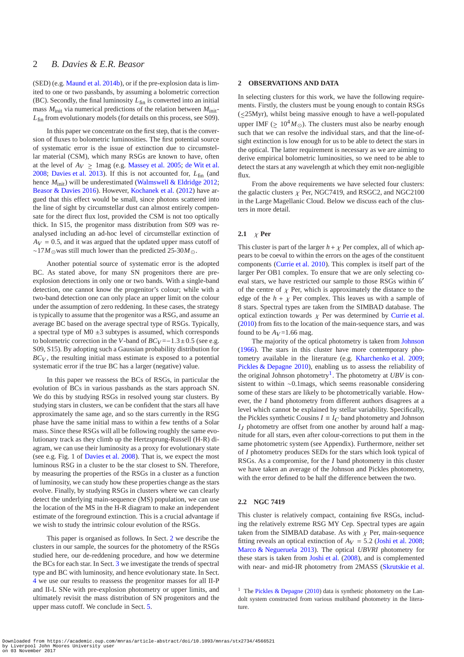(SED) (e.g. [Maund et al. 2014b](#page-13-9)), or if the pre-explosion data is limited to one or two passbands, by assuming a bolometric correction (BC). Secondly, the final luminosity  $L_{fin}$  is converted into an initial mass  $M<sub>init</sub>$  via numerical predictions of the relation between  $M<sub>init</sub>$ -*L*<sub>fin</sub> from evolutionary models (for details on this process, see S09).

In this paper we concentrate on the first step, that is the conversion of fluxes to bolometric luminosities. The first potential source of systematic error is the issue of extinction due to circumstellar material (CSM), which many RSGs are known to have, often at the level of  $A_V \ge 1$ mag (e.g. [Massey et al. 2005](#page-13-10); [de Wit et al.](#page-13-11) [2008](#page-13-11); [Davies et al. 2013](#page-12-2)). If this is not accounted for,  $L_{fin}$  (and hence  $M<sub>init</sub>$ ) will be underestimated [\(Walmswell & Eldridge 2012;](#page-13-12) [Beasor & Davies 2016](#page-12-3)). However, [Kochanek et al.](#page-13-13) [\(2012\)](#page-13-13) have argued that this effect would be small, since photons scattered into the line of sight by circumstellar dust can almost entirely compensate for the direct flux lost, provided the CSM is not too optically thick. In S15, the progenitor mass distribution from S09 was reanalysed including an ad-hoc level of circumstellar extinction of  $A_V = 0.5$ , and it was argued that the updated upper mass cutoff of ∼17*M*⊙was still much lower than the predicted 25-30*M*⊙.

Another potential source of systematic error is the adopted BC. As stated above, for many SN progenitors there are preexplosion detections in only one or two bands. With a single-band detection, one cannot know the progenitor's colour; while with a two-band detection one can only place an upper limit on the colour under the assumption of zero reddening. In these cases, the strategy is typically to assume that the progenitor was a RSG, and assume an average BC based on the average spectral type of RSGs. Typically, a spectral type of  $M0 \pm 3$  subtypes is assumed, which corresponds to bolometric correction in the *V*-band of  $BC_V = -1.3 \pm 0.5$  (see e.g. S09, S15). By adopting such a Gaussian probability distribution for  $BC_V$ , the resulting initial mass estimate is exposed to a potential systematic error if the true BC has a larger (negative) value.

In this paper we reassess the BCs of RSGs, in particular the evolution of BCs in various passbands as the stars approach SN. We do this by studying RSGs in resolved young star clusters. By studying stars in clusters, we can be confident that the stars all have approximately the same age, and so the stars currently in the RSG phase have the same initial mass to within a few tenths of a Solar mass. Since these RSGs will all be following roughly the same evolutionary track as they climb up the Hertzsprung-Russell (H-R) diagram, we can use their luminosity as a proxy for evolutionary state (see e.g. Fig. 1 of [Davies et al. 2008](#page-12-4)). That is, we expect the most luminous RSG in a cluster to be the star closest to SN. Therefore, by measuring the properties of the RSGs in a cluster as a function of luminosity, we can study how these properties change as the stars evolve. Finally, by studying RSGs in clusters where we can clearly detect the underlying main-sequence (MS) population, we can use the location of the MS in the H-R diagram to make an independent estimate of the foreground extinction. This is a crucial advantage if we wish to study the intrinsic colour evolution of the RSGs.

This paper is organised as follows. In Sect. [2](#page-2-0) we describe the clusters in our sample, the sources for the photometry of the RSGs studied here, our de-reddening procedure, and how we determine the BCs for each star. In Sect. [3](#page-4-0) we investigate the trends of spectral type and BC with luminosity, and hence evolutionary state. In Sect. [4](#page-5-0) we use our results to reassess the progenitor masses for all II-P and II-L SNe with pre-explosion photometry or upper limits, and ultimately revisit the mass distribution of SN progenitors and the upper mass cutoff. We conclude in Sect. [5.](#page-12-5)

# <span id="page-2-0"></span>**2 OBSERVATIONS AND DATA**

In selecting clusters for this work, we have the following requirements. Firstly, the clusters must be young enough to contain RSGs (∼ <25Myr), whilst being massive enough to have a well-populated upper IMF ( $\geq 10^4 M_{\odot}$ ). The clusters must also be nearby enough such that we can resolve the individual stars, and that the line-ofsight extinction is low enough for us to be able to detect the stars in the optical. The latter requirement is necessary as we are aiming to derive empirical bolometric luminosities, so we need to be able to detect the stars at any wavelength at which they emit non-negligible flux.

From the above requirements we have selected four clusters: the galactic clusters  $\chi$  Per, NGC7419, and RSGC2, and NGC2100 in the Large Magellanic Cloud. Below we discuss each of the clusters in more detail.

# **2.1** χ **Per**

This cluster is part of the larger  $h + \chi$  Per complex, all of which appears to be coeval to within the errors on the ages of the constituent components [\(Currie et al. 2010](#page-12-6)). This complex is itself part of the larger Per OB1 complex. To ensure that we are only selecting coeval stars, we have restricted our sample to those RSGs within 6′ of the centre of  $\chi$  Per, which is approximately the distance to the edge of the  $h + \chi$  Per complex. This leaves us with a sample of 8 stars. Spectral types are taken from the SIMBAD database. The optical extinction towards  $\chi$  Per was determined by [Currie et al.](#page-12-6) [\(2010](#page-12-6)) from fits to the location of the main-sequence stars, and was found to be  $A_V = 1.66$  mag.

The majority of the optical photometry is taken from [Johnson](#page-13-14) [\(1966](#page-13-14)). The stars in this cluster have more contemporary photometry available in the literature (e.g. [Kharchenko et al. 2009;](#page-13-15) [Pickles & Depagne 2010](#page-13-16)), enabling us to assess the reliability of the original Johnson photometry<sup>[1](#page-2-1)</sup>. The photometry at *UBV* is consistent to within ∼0.1mags, which seems reasonable considering some of these stars are likely to be photometrically variable. However, the *I* band photometry from different authors disagrees at a level which cannot be explained by stellar variability. Specifically, the Pickles synthetic Cousins  $I \equiv I_C$  band photometry and Johnson  $I_J$  photometry are offset from one another by around half a magnitude for all stars, even after colour-corrections to put them in the same photometric system (see Appendix). Furthermore, neither set of *I* photometry produces SEDs for the stars which look typical of RSGs. As a compromise, for the *I* band photometry in this cluster we have taken an average of the Johnson and Pickles photometry, with the error defined to be half the difference between the two.

#### **2.2 NGC 7419**

This cluster is relatively compact, containing five RSGs, including the relatively extreme RSG MY Cep. Spectral types are again taken from the SIMBAD database. As with  $\chi$  Per, main-sequence fitting reveals an optical extinction of  $A_V = 5.2$  [\(Joshi et al. 2008;](#page-13-17) [Marco & Negueruela 2013](#page-13-18)). The optical *UBVRI* photometry for these stars is taken from [Joshi et al.](#page-13-17) [\(2008\)](#page-13-17), and is complemented with near- and mid-IR photometry from 2MASS [\(Skrutskie et al.](#page-13-19)

<span id="page-2-1"></span><sup>1</sup> The [Pickles & Depagne](#page-13-16) [\(2010](#page-13-16)) data is synthetic photometry on the Landolt system constructed from various multiband photometry in the literature.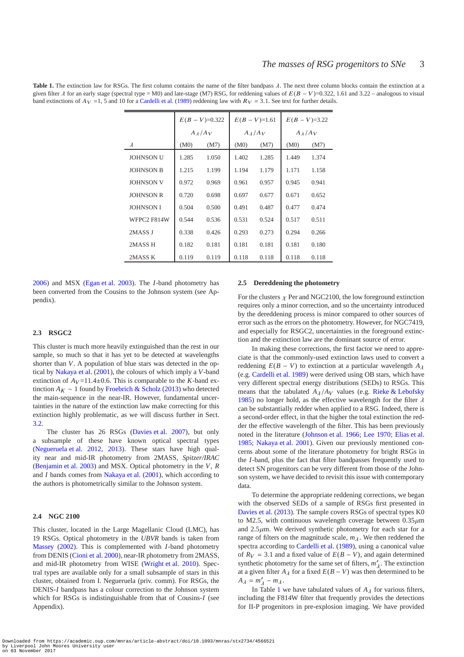<span id="page-3-0"></span>**Table 1.** The extinction law for RSGs. The first column contains the name of the filter bandpass λ. The next three column blocks contain the extinction at a given filter  $\lambda$  for an early stage (spectral type = M0) and late-stage (M7) RSG, for reddening values of  $E(B - V)$ =0.322, 1.61 and 3.22 – analogous to visual band extinctions of  $A_V = 1$ , 5 and 10 for a [Cardelli et al.](#page-12-7) [\(1989](#page-12-7)) reddening law with  $R_V = 3.1$ . See text for further details.

|                  | $E(B - V) = 0.322$  |       | $E(B - V) = 1.61$   |       | $E(B-V)=3.22$       |       |
|------------------|---------------------|-------|---------------------|-------|---------------------|-------|
|                  | $A_{\lambda}/A_{V}$ |       | $A_{\lambda}/A_{V}$ |       | $A_{\lambda}/A_{V}$ |       |
| $\lambda$        | (M0)                | (M7)  | (M0)                | (M7)  | (M0)                | (M7)  |
| <b>JOHNSON U</b> | 1.285               | 1.050 | 1.402               | 1.285 | 1.449               | 1.374 |
| <b>JOHNSON B</b> | 1.215               | 1.199 | 1.194               | 1.179 | 1.171               | 1.158 |
| <b>JOHNSON V</b> | 0.972               | 0.969 | 0.961               | 0.957 | 0.945               | 0.941 |
| <b>JOHNSON R</b> | 0.720               | 0.698 | 0.697               | 0.677 | 0.671               | 0.652 |
| <b>JOHNSON I</b> | 0.504               | 0.500 | 0.491               | 0.487 | 0.477               | 0.474 |
| WFPC2 F814W      | 0.544               | 0.536 | 0.531               | 0.524 | 0.517               | 0.511 |
| 2MASS J          | 0.338               | 0.426 | 0.293               | 0.273 | 0.294               | 0.266 |
| 2MASS H          | 0.182               | 0.181 | 0.181               | 0.181 | 0.181               | 0.180 |
| 2MASS K          | 0.119               | 0.119 | 0.118               | 0.118 | 0.118               | 0.118 |

[2006](#page-13-19)) and MSX [\(Egan et al. 2003](#page-12-8)). The *I*-band photometry has been converted from the Cousins to the Johnson system (see Appendix).

# **2.3 RSGC2**

This cluster is much more heavily extinguished than the rest in our sample, so much so that it has yet to be detected at wavelengths shorter than *V*. A population of blue stars was detected in the optical by [Nakaya et al.](#page-13-20) [\(2001](#page-13-20)), the colours of which imply a *V*-band extinction of  $A_V = 11.4 \pm 0.6$ . This is comparable to the *K*-band extinction  $A_K \sim 1$  found by [Froebrich & Scholz](#page-13-21) [\(2013](#page-13-21)) who detected the main-sequence in the near-IR. However, fundamental uncertainties in the nature of the extinction law make correcting for this extinction highly problematic, as we will discuss further in Sect. [3.2.](#page-5-1)

The cluster has 26 RSGs [\(Davies et al. 2007\)](#page-12-9), but only a subsample of these have known optical spectral types [\(Negueruela et al. 2012](#page-13-22), [2013](#page-13-23)). These stars have high quality near and mid-IR photometry from 2MASS, *Spitzer/IRAC* [\(Benjamin et al. 2003](#page-12-10)) and MSX. Optical photometry in the *V*, *R* and *I* bands comes from [Nakaya et al.](#page-13-20) [\(2001\)](#page-13-20), which according to the authors is photometrically similar to the Johnson system.

#### **2.4 NGC 2100**

This cluster, located in the Large Magellanic Cloud (LMC), has 19 RSGs. Optical photometry in the *UBVR* bands is taken from [Massey](#page-13-24) [\(2002](#page-13-24)). This is complemented with *I*-band photometry from DENIS [\(Cioni et al. 2000\)](#page-12-11), near-IR photometry from 2MASS, and mid-IR photometry from WISE [\(Wright et al. 2010](#page-13-25)). Spectral types are available only for a small subsample of stars in this cluster, obtained from I. Negueruela (priv. comm). For RSGs, the DENIS-*I* bandpass has a colour correction to the Johnson system which for RSGs is indistinguishable from that of Cousins-*I* (see Appendix).

#### <span id="page-3-1"></span>**2.5 Dereddening the photometry**

For the clusters  $\chi$  Per and NGC2100, the low foreground extinction requires only a minor correction, and so the uncertainty introduced by the dereddening process is minor compared to other sources of error such as the errors on the photometry. However, for NGC7419, and especially for RSGC2, uncertainties in the foreground extinction and the extinction law are the dominant source of error.

In making these corrections, the first factor we need to appreciate is that the commonly-used extinction laws used to convert a reddening  $E(B - V)$  to extinction at a particular wavelength  $A_{\lambda}$ (e.g. [Cardelli et al. 1989](#page-12-7)) were derived using OB stars, which have very different spectral energy distributions (SEDs) to RSGs. This means that the tabulated  $A_{\lambda}/A_V$  values (e.g. [Rieke & Lebofsky](#page-13-26) [1985](#page-13-26)) no longer hold, as the effective wavelength for the filter  $\lambda$ can be substantially redder when applied to a RSG. Indeed, there is a second-order effect, in that the higher the total extinction the redder the effective wavelength of the filter. This has been previously noted in the literature [\(Johnson et al. 1966;](#page-13-27) [Lee 1970](#page-13-28); [Elias et al.](#page-12-12) [1985](#page-12-12); [Nakaya et al. 2001](#page-13-20)). Given our previously mentioned concerns about some of the literature photometry for bright RSGs in the *I*-band, plus the fact that filter bandpasses frequently used to detect SN progenitors can be very different from those of the Johnson system, we have decided to revisit this issue with contemporary data.

To determine the appropriate reddening corrections, we began with the observed SEDs of a sample of RSGs first presented in [Davies et al.](#page-12-2) [\(2013](#page-12-2)). The sample covers RSGs of spectral types K0 to M2.5, with continuous wavelength coverage between  $0.35 \mu m$ and  $2.5\mu$ m. We derived synthetic photometry for each star for a range of filters on the magnitude scale,  $m_\lambda$ . We then reddened the spectra according to [Cardelli et al.](#page-12-7) [\(1989](#page-12-7)), using a canonical value of  $R_V = 3.1$  and a fixed value of  $E(B - V)$ , and again determined synthetic photometry for the same set of filters,  $m'_{\lambda}$ . The extinction at a given filter  $A_{\lambda}$  for a fixed  $E(B - V)$  was then determined to be  $A_{\lambda} = m'_{\lambda} - m_{\lambda}$ .

In Table [1](#page-3-0) we have tabulated values of  $A_{\lambda}$  for various filters, including the F814W filter that frequently provides the detections for II-P progenitors in pre-explosion imaging. We have provided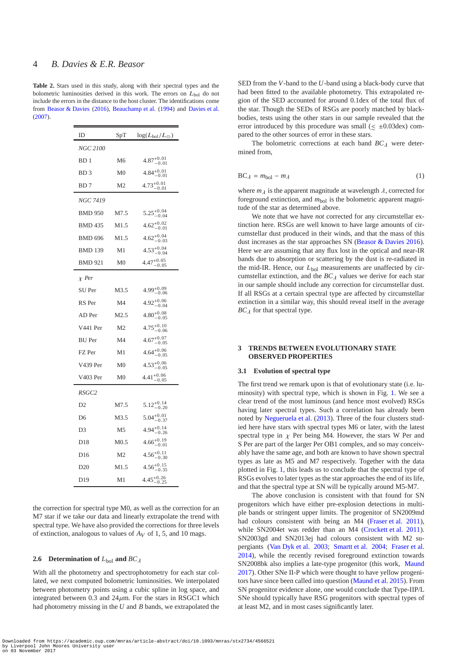**Table 2.** Stars used in this study, along with their spectral types and the bolometric luminosities derived in this work. The errors on  $L_{bol}$  do not include the errors in the distance to the host cluster. The identifications come from [Beasor & Davies](#page-12-3) [\(2016\)](#page-12-3), [Beauchamp et al.](#page-12-13) [\(1994](#page-12-13)) and [Davies et al.](#page-12-9) [\(2007\)](#page-12-9).

| ID               | SpT              | $\log (L_{\rm bol}/L_\odot)$      |
|------------------|------------------|-----------------------------------|
| <i>NGC 2100</i>  |                  |                                   |
| BD 1             | M6               | $4.87^{+0.01}_{-0.01}$            |
| BD <sub>3</sub>  | M0               | $4.84^{+0.01}_{-0.01}$            |
| B <sub>D</sub> 7 | M <sub>2</sub>   | $4.73^{+0.01}_{-0.02}$<br>$-0.01$ |
| NGC 7419         |                  |                                   |
| <b>BMD 950</b>   | M7.5             | $5.25^{+0.04}_{-0.04}$            |
| <b>BMD 435</b>   | M1.5             | $4.62^{+0.02}_{-0.01}$            |
| <b>BMD 696</b>   | M1.5             | $4.62^{+0.04}_{-0.03}$            |
| <b>BMD 139</b>   | M1               | $4.53^{+0.04}_{-0.04}$            |
| <b>BMD 921</b>   | M <sub>0</sub>   | $4.47^{+0.05}_{-0.05}$            |
| $\chi$ Per       |                  |                                   |
| SU Per           | M3.5             | $4.99_{-0.06}^{+0.09}$            |
| RS Per           | M4               | $4.92^{+0.06}_{-0.04}$            |
| AD Per           | M <sub>2.5</sub> | $4.80^{+0.08}_{-0.05}$            |
| V441 Per         | M <sub>2</sub>   | $4.75^{+0.10}_{-0.06}$            |
| <b>BU</b> Per    | M4               | $4.67^{+0.07}_{-0.05}$            |
| FZ Per           | M1               | $4.64^{+0.06}_{-0.05}$            |
| V439 Per         | M0               | $4.53^{+0.06}_{-0.05}$            |
| V403 Per         | M0               | $4.41^{+0.06}_{-0.05}$            |
| RSGC2            |                  |                                   |
| D2               | M7.5             | $5.12^{+0.14}_{-0.20}$            |
| D6               | M3.5             | $5.04_{-0.37}^{+0.01}$            |
| D <sub>3</sub>   | M <sub>5</sub>   | $4.94^{+0.14}_{-0.26}$            |
| D18              | M <sub>0.5</sub> | $4.66^{+0.19}_{-0.01}$            |
| D16              | M2               | $4.56^{+0.11}_{-0.30}$            |
| D <sub>20</sub>  | M1.5             | $4.56^{+0.15}_{-0.35}$            |
| D19              | M1               | $4.45^{+0.26}_{-0.25}$            |

the correction for spectral type M0, as well as the correction for an M7 star if we take our data and linearly extrapolate the trend with spectral type. We have also provided the corrections for three levels of extinction, analogous to values of  $A_V$  of 1, 5, and 10 mags.

### **2.6** Determination of  $L_{\text{bol}}$  and  $BC_{\lambda}$

With all the photometry and spectrophotometry for each star collated, we next computed bolometric luminosities. We interpolated between photometry points using a cubic spline in log space, and integrated between 0.3 and  $24\mu$ m. For the stars in RSGC1 which had photometry missing in the *U* and *B* bands, we extrapolated the

SED from the *V*-band to the *U*-band using a black-body curve that had been fitted to the available photometry. This extrapolated region of the SED accounted for around 0.1dex of the total flux of the star. Though the SEDs of RSGs are poorly matched by blackbodies, tests using the other stars in our sample revealed that the error introduced by this procedure was small ( $\leq$  ±0.03dex) compared to the other sources of error in these stars.

The bolometric corrections at each band  $BC<sub>\lambda</sub>$  were determined from,

$$
BC_{\lambda} = m_{bol} - m_{\lambda} \tag{1}
$$

where  $m_{\lambda}$  is the apparent magnitude at wavelength  $\lambda$ , corrected for foreground extinction, and  $m_{bol}$  is the bolometric apparent magnitude of the star as determined above.

We note that we have *not* corrected for any circumstellar extinction here. RSGs are well known to have large amounts of circumstellar dust produced in their winds, and that the mass of this dust increases as the star approaches SN [\(Beasor & Davies 2016](#page-12-3)). Here we are assuming that any flux lost in the optical and near-IR bands due to absorption or scattering by the dust is re-radiated in the mid-IR. Hence, our  $L_{bol}$  measurements are unaffected by circumstellar extinction, and the  $BC<sub>\lambda</sub>$  values we derive for each star in our sample should include any correction for circumstellar dust. If all RSGs at a certain spectral type are affected by circumstellar extinction in a similar way, this should reveal itself in the average  $BC_{\lambda}$  for that spectral type.

# <span id="page-4-0"></span>**3 TRENDS BETWEEN EVOLUTIONARY STATE OBSERVED PROPERTIES**

### **3.1 Evolution of spectral type**

The first trend we remark upon is that of evolutionary state (i.e. luminosity) with spectral type, which is shown in Fig. [1.](#page-5-2) We see a clear trend of the most luminous (and hence most evolved) RSGs having later spectral types. Such a correlation has already been noted by [Negueruela et al.](#page-13-23) [\(2013](#page-13-23)). Three of the four clusters studied here have stars with spectral types M6 or later, with the latest spectral type in  $\chi$  Per being M4. However, the stars W Per and S Per are part of the larger Per OB1 complex, and so may conceivably have the same age, and both are known to have shown spectral types as late as M5 and M7 respectively. Together with the data plotted in Fig. [1,](#page-5-2) this leads us to conclude that the spectral type of RSGs evolves to later types as the star approaches the end of its life, and that the spectral type at SN will be typically around M5-M7.

The above conclusion is consistent with that found for SN progenitors which have either pre-explosion detections in multiple bands or stringent upper limits. The progenitor of SN2009md had colours consistent with being an M4 [\(Fraser et al. 2011](#page-13-29)), while SN2004et was redder than an M4 [\(Crockett et al. 2011](#page-12-14)). SN2003gd and SN2013ej had colours consistent with M2 supergiants [\(Van Dyk et al. 2003](#page-13-30); [Smartt et al. 2004](#page-13-2); [Fraser et al.](#page-13-31) [2014](#page-13-31)), while the recently revised foreground extinction towards SN2008bk also implies a late-type progenitor (this work, [Maund](#page-13-32) [2017](#page-13-32)). Other SNe II-P which were thought to have yellow progenitors have since been called into question [\(Maund et al. 2015](#page-13-33)). From SN progenitor evidence alone, one would conclude that Type-IIP/L SNe should typically have RSG progenitors with spectral types of at least M2, and in most cases significantly later.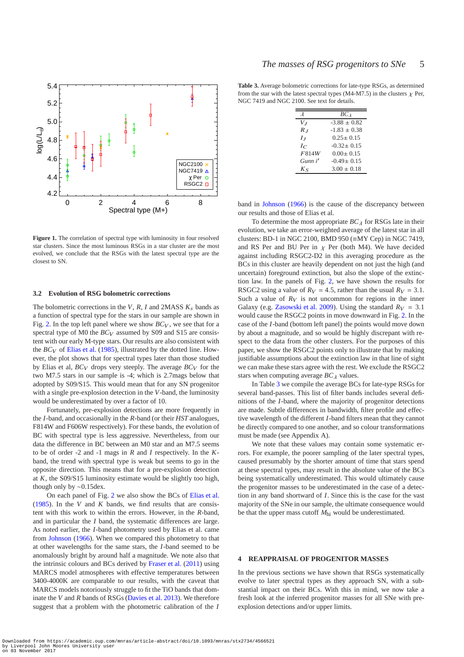

<span id="page-5-2"></span>Figure 1. The correlation of spectral type with luminosity in four resolved star clusters. Since the most luminous RSGs in a star cluster are the most evolved, we conclude that the RSGs with the latest spectral type are the closest to SN.

### <span id="page-5-1"></span>**3.2 Evolution of RSG bolometric corrections**

The bolometric corrections in the *V*, *R*, *I* and 2MASS  $K_s$  bands as a function of spectral type for the stars in our sample are shown in Fig. [2.](#page-6-0) In the top left panel where we show  $BC_V$ , we see that for a spectral type of M0 the *BC<sub>V</sub>* assumed by S09 and S15 are consistent with our early M-type stars. Our results are also consistent with the  $BC_V$  of [Elias et al.](#page-12-12) [\(1985](#page-12-12)), illustrated by the dotted line. However, the plot shows that for spectral types later than those studied by Elias et al,  $BC_V$  drops very steeply. The average  $BC_V$  for the two M7.5 stars in our sample is -4; which is 2.7mags below that adopted by S09/S15. This would mean that for any SN progenitor with a single pre-explosion detection in the *V*-band, the luminosity would be underestimated by over a factor of 10.

Fortunately, pre-explosion detections are more frequently in the *I*-band, and occasionally in the *R*-band (or their *HST* analogues, F814W and F606W respectively). For these bands, the evolution of BC with spectral type is less aggressive. Nevertheless, from our data the difference in BC between an M0 star and an M7.5 seems to be of order -2 and -1 mags in *R* and *I* respectively. In the *K*band, the trend with spectral type is weak but seems to go in the opposite direction. This means that for a pre-explosion detection at  $K$ , the S09/S15 luminosity estimate would be slightly too high, though only by ∼0.15dex.

On each panel of Fig. [2](#page-6-0) we also show the BCs of [Elias et al.](#page-12-12) [\(1985](#page-12-12)). In the *V* and *K* bands, we find results that are consistent with this work to within the errors. However, in the *R*-band, and in particular the *I* band, the systematic differences are large. As noted earlier, the *I*-band photometry used by Elias et al. came from [Johnson](#page-13-14) [\(1966](#page-13-14)). When we compared this photometry to that at other wavelengths for the same stars, the *I*-band seemed to be anomalously bright by around half a magnitude. We note also that the intrinsic colours and BCs derived by [Fraser et al.](#page-13-29) [\(2011](#page-13-29)) using MARCS model atmospheres with effective temperatures between 3400-4000K are comparable to our results, with the caveat that MARCS models notoriously struggle to fit the TiO bands that dominate the *V* and *R* bands of RSGs [\(Davies et al. 2013](#page-12-2)). We therefore suggest that a problem with the photometric calibration of the *I*

<span id="page-5-3"></span>**Table 3.** Average bolometric corrections for late-type RSGs, as determined from the star with the latest spectral types (M4-M7.5) in the clusters  $\chi$  Per, NGC 7419 and NGC 2100. See text for details.

| $\lambda$      | BC <sub>λ</sub>  |
|----------------|------------------|
| V1             | $-3.88 \pm 0.82$ |
| $R_I$          | $-1.83 \pm 0.38$ |
| I <sub>I</sub> | $0.25 \pm 0.15$  |
| $I_C$          | $-0.32 \pm 0.15$ |
| F814W          | $0.00 + 0.15$    |
| Gunn i'        | $-0.49 \pm 0.15$ |
| $K_{S}$        | $3.00 \pm 0.18$  |
|                |                  |

band in [Johnson](#page-13-14) [\(1966\)](#page-13-14) is the cause of the discrepancy between our results and those of Elias et al.

To determine the most appropriate  $BC<sub>\lambda</sub>$  for RSGs late in their evolution, we take an error-weighted average of the latest star in all clusters: BD-1 in NGC 2100, BMD 950 (≡MY Cep) in NGC 7419, and RS Per and BU Per in  $\chi$  Per (both M4). We have decided against including RSGC2-D2 in this averaging procedure as the BCs in this cluster are heavily dependent on not just the high (and uncertain) foreground extinction, but also the slope of the extinction law. In the panels of Fig. [2,](#page-6-0) we have shown the results for RSGC2 using a value of  $R_V = 4.5$ , rather than the usual  $R_V = 3.1$ . Such a value of  $R_V$  is not uncommon for regions in the inner Galaxy (e.g. [Zasowski et al. 2009](#page-13-34)). Using the standard  $R_V = 3.1$ would cause the RSGC2 points in move downward in Fig. [2.](#page-6-0) In the case of the *I*-band (bottom left panel) the points would move down by about a magnitude, and so would be highly discrepant with respect to the data from the other clusters. For the purposes of this paper, we show the RSGC2 points only to illustrate that by making justifiable assumptions about the extinction law in that line of sight we can make these stars agree with the rest. We exclude the RSGC2 stars when computing average  $BC<sub>\lambda</sub>$  values.

In Table [3](#page-5-3) we compile the average BCs for late-type RSGs for several band-passes. This list of filter bands includes several definitions of the *I*-band, where the majority of progenitor detections are made. Subtle differences in bandwidth, filter profile and effective wavelength of the different *I*-band filters mean that they cannot be directly compared to one another, and so colour transformations must be made (see Appendix A).

We note that these values may contain some systematic errors. For example, the poorer sampling of the later spectral types, caused presumably by the shorter amount of time that stars spend at these spectral types, may result in the absolute value of the BCs being systematically underestimated. This would ultimately cause the progenitor masses to be underestimated in the case of a detection in any band shortward of *I*. Since this is the case for the vast majority of the SNe in our sample, the ultimate consequence would be that the upper mass cutoff *M*hi would be underestimated.

# <span id="page-5-0"></span>**4 REAPPRAISAL OF PROGENITOR MASSES**

In the previous sections we have shown that RSGs systematically evolve to later spectral types as they approach SN, with a substantial impact on their BCs. With this in mind, we now take a fresh look at the inferred progenitor masses for all SNe with preexplosion detections and/or upper limits.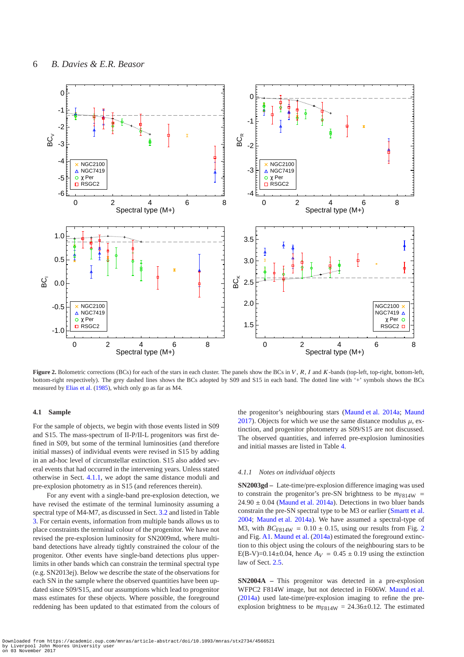

<span id="page-6-0"></span>Figure 2. Bolometric corrections (BCs) for each of the stars in each cluster. The panels show the BCs in V, R, I and K-bands (top-left, top-right, bottom-left, bottom-right respectively). The grey dashed lines shows the BCs adopted by S09 and S15 in each band. The dotted line with '+' symbols shows the BCs measured by [Elias et al.](#page-12-12) [\(1985](#page-12-12)), which only go as far as M4.

#### **4.1 Sample**

For the sample of objects, we begin with those events listed in S09 and S15. The mass-spectrum of II-P/II-L progenitors was first defined in S09, but some of the terminal luminosities (and therefore initial masses) of individual events were revised in S15 by adding in an ad-hoc level of circumstellar extinction. S15 also added several events that had occurred in the intervening years. Unless stated otherwise in Sect. [4.1.1,](#page-6-1) we adopt the same distance moduli and pre-explosion photometry as in S15 (and references therein).

For any event with a single-band pre-explosion detection, we have revised the estimate of the terminal luminosity assuming a spectral type of M4-M7, as discussed in Sect. [3.2](#page-5-1) and listed in Table [3.](#page-5-3) For certain events, information from multiple bands allows us to place constraints the terminal colour of the progenitor. We have not revised the pre-explosion luminosity for SN2009md, where multiband detections have already tightly constrained the colour of the progenitor. Other events have single-band detections plus upperlimits in other bands which can constrain the terminal spectral type (e.g. SN2013ej). Below we describe the state of the observations for each SN in the sample where the observed quantities have been updated since S09/S15, and our assumptions which lead to progenitor mass estimates for these objects. Where possible, the foreground reddening has been updated to that estimated from the colours of the progenitor's neighbouring stars [\(Maund et al. 2014a](#page-13-35); [Maund](#page-13-32) [2017](#page-13-32)). Objects for which we use the same distance modulus  $\mu$ , extinction, and progenitor photometry as S09/S15 are not discussed. The observed quantities, and inferred pre-explosion luminosities and initial masses are listed in Table [4.](#page-7-0)

#### <span id="page-6-1"></span>*4.1.1 Notes on individual objects*

**SN2003gd –** Late-time/pre-explosion difference imaging was used to constrain the progenitor's pre-SN brightness to be  $m_{F814W}$  =  $24.90 \pm 0.04$  [\(Maund et al. 2014a](#page-13-35)). Detections in two bluer bands constrain the pre-SN spectral type to be M3 or earlier [\(Smartt et al.](#page-13-2) [2004](#page-13-2); [Maund et al. 2014a\)](#page-13-35). We have assumed a spectral-type of M3, with  $BC_{F814W} = 0.10 \pm 0.15$ , using our results from Fig. [2](#page-6-0) and Fig. [A1.](#page-13-36) [Maund et al.](#page-13-35) [\(2014a](#page-13-35)) estimated the foreground extinction to this object using the colours of the neighbouring stars to be E(B-V)=0.14±0.04, hence  $A_V = 0.45 \pm 0.19$  using the extinction law of Sect. [2.5.](#page-3-1)

**SN2004A –** This progenitor was detected in a pre-explosion WFPC2 F814W image, but not detected in F606W. [Maund et al.](#page-13-35) [\(2014a](#page-13-35)) used late-time/pre-explosion imaging to refine the preexplosion brightness to be  $m_{F814W} = 24.36 \pm 0.12$ . The estimated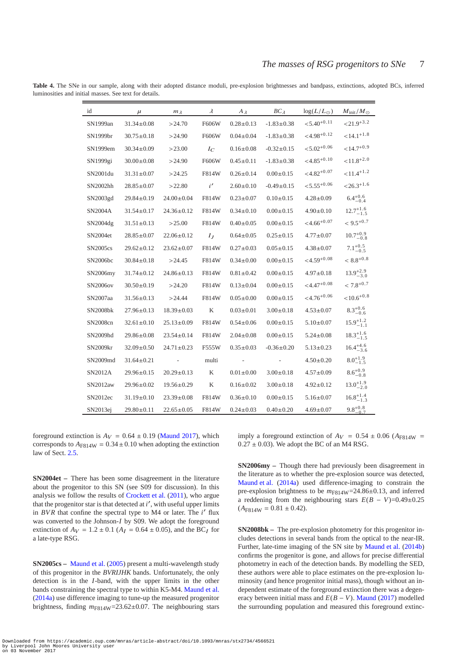<span id="page-7-0"></span>

| id                   | $\mu$            | $m_{\lambda}$    | $\lambda$      | $A_{\lambda}$   | $BC\lambda$      | $\log(L/L_{\odot})$       | $M_{\rm init}/M_\odot$ |
|----------------------|------------------|------------------|----------------|-----------------|------------------|---------------------------|------------------------|
| SN1999an             | $31.34 \pm 0.08$ | >24.70           | F606W          | $0.28 \pm 0.13$ | $-1.83 \pm 0.38$ | $< 5.40^{+0.11}$          | ${<}21.9^{+3.2}$       |
| SN1999br             | $30.75 \pm 0.18$ | >24.90           | F606W          | $0.04 \pm 0.04$ | $-1.83 + 0.38$   | $<$ 4.98 <sup>+0.12</sup> | $<14.1^{+1.8}$         |
| SN1999em             | $30.34 \pm 0.09$ | >23.00           | $I_{C}$        | $0.16 \pm 0.08$ | $-0.32 \pm 0.15$ | $< 5.02^{+0.06}$          | $< 14.7^{+0.9}$        |
| SN1999gi             | $30.00 \pm 0.08$ | >24.90           | F606W          | $0.45 \pm 0.11$ | $-1.83 + 0.38$   | $<$ 4.85 <sup>+0.10</sup> | ${<}11.8^{+2.0}$       |
| SN2001du             | $31.31 \pm 0.07$ | >24.25           | F814W          | $0.26 \pm 0.14$ | $0.00 \pm 0.15$  | $<$ 4.82 <sup>+0.07</sup> | $< 11.4 + 1.2$         |
| SN2002hh             | $28.85 \pm 0.07$ | >22.80           | i'             | $2.60 \pm 0.10$ | $-0.49 \pm 0.15$ | $< 5.55^{+0.06}$          | ${<}26.3^{+1.6}$       |
| SN2003gd             | $29.84 \pm 0.19$ | $24.00 \pm 0.04$ | F814W          | $0.23 \pm 0.07$ | $0.10 \pm 0.15$  | $4.28 \pm 0.09$           | $6.4^{+0.6}_{-0.4}$    |
| SN2004A              | $31.54 \pm 0.17$ | $24.36 \pm 0.12$ | F814W          | $0.34 \pm 0.10$ | $0.00 \pm 0.15$  | $4.90 \pm 0.10$           | $12.7^{+1.6}_{-1.5}$   |
| SN2004dg             | $31.51 \pm 0.13$ | >25.00           | F814W          | $0.40 \pm 0.05$ | $0.00 \pm 0.15$  | $<$ 4.66 <sup>+0.07</sup> | $< 9.5^{+0.7}$         |
| SN2004et             | $28.85 \pm 0.07$ | $22.06 \pm 0.12$ | I <sub>I</sub> | $0.64 \pm 0.05$ | $0.25 \pm 0.15$  | $4.77 \pm 0.07$           | $10.7^{+0.9}_{-0.8}$   |
| <b>SN2005cs</b>      | $29.62 \pm 0.12$ | $23.62 \pm 0.07$ | F814W          | $0.27 \pm 0.03$ | $0.05 \pm 0.15$  | $4.38 \pm 0.07$           | $7.1_{-0.5}^{+0.5}$    |
| SN2006bc             | $30.84 \pm 0.18$ | >24.45           | F814W          | $0.34 \pm 0.00$ | $0.00 \pm 0.15$  | $<$ 4.59 <sup>+0.08</sup> | $< 8.8^{+0.8}$         |
| SN2006my             | $31.74 \pm 0.12$ | $24.86 \pm 0.13$ | F814W          | $0.81 \pm 0.42$ | $0.00 \pm 0.15$  | $4.97 \pm 0.18$           | $13.9^{+2.9}_{-3.0}$   |
| SN2006ov             | $30.50 \pm 0.19$ | >24.20           | F814W          | $0.13 \pm 0.04$ | $0.00 \pm 0.15$  | $<4.47^{+0.08}$           | $< 7.8^{+0.7}$         |
| SN2007aa             | $31.56 \pm 0.13$ | >24.44           | F814W          | $0.05 \pm 0.00$ | $0.00 \pm 0.15$  | $< 4.76^{+0.06}$          | $< 10.6^{+0.8}$        |
| SN2008bk             | $27.96 \pm 0.13$ | $18.39 \pm 0.03$ | K              | $0.03 \pm 0.01$ | $3.00 \pm 0.18$  | $4.53 \pm 0.07$           | $8.3^{+0.6}_{-0.6}$    |
| SN2008cn             | $32.61 \pm 0.10$ | $25.13 \pm 0.09$ | F814W          | $0.54 \pm 0.06$ | $0.00 \pm 0.15$  | $5.10 \pm 0.07$           | $15.9^{+1.2}_{-1.1}$   |
| SN2009hd             | $29.86 \pm 0.08$ | $23.54 \pm 0.14$ | F814W          | $2.04 \pm 0.08$ | $0.00 \pm 0.15$  | $5.24 \pm 0.08$           | $18.3^{+1.6}_{-1.5}$   |
| SN2009kr             | $32.09 \pm 0.50$ | $24.71 \pm 0.23$ | F555W          | $0.35 \pm 0.03$ | $-0.36 \pm 0.20$ | $5.13 \pm 0.23$           | $16.4^{+4.6}_{-3.6}$   |
| SN2009md             | $31.64 \pm 0.21$ | and the control  | multi          | $\sim$          |                  | $4.50 \pm 0.20$           | $8.0^{+1.9}_{-1.5}$    |
| SN2012A              | $29.96 \pm 0.15$ | $20.29 \pm 0.13$ | K              | $0.01 \pm 0.00$ | $3.00 \pm 0.18$  | $4.57 \pm 0.09$           | $8.6^{+0.9}_{-0.8}$    |
| SN2012aw             | $29.96 \pm 0.02$ | $19.56 \pm 0.29$ | K              | $0.16 \pm 0.02$ | $3.00 \pm 0.18$  | $4.92 \pm 0.12$           | $13.0^{+1.9}_{-2.0}$   |
| SN2012ec             | $31.19 \pm 0.10$ | $23.39 \pm 0.08$ | F814W          | $0.36 \pm 0.10$ | $0.00 \pm 0.15$  | $5.16 \pm 0.07$           | $16.8^{+1.4}_{-1.3}$   |
| SN <sub>2013ej</sub> | $29.80 \pm 0.11$ | $22.65 \pm 0.05$ | F814W          | $0.24 \pm 0.03$ | $0.40 \pm 0.20$  | $4.69 \pm 0.07$           | $9.8^{+0.8}_{-0.7}$    |

**Table 4.** The SNe in our sample, along with their adopted distance moduli, pre-explosion brightnesses and bandpass, extinctions, adopted BCs, inferred luminosities and initial masses. See text for details.

foreground extinction is  $A_V = 0.64 \pm 0.19$  [\(Maund 2017](#page-13-32)), which corresponds to  $A_{F814W} = 0.34 \pm 0.10$  when adopting the extinction law of Sect. [2.5.](#page-3-1)

**SN2004et –** There has been some disagreement in the literature about the progenitor to this SN (see S09 for discussion). In this analysis we follow the results of [Crockett et al.](#page-12-14) [\(2011\)](#page-12-14), who argue that the progenitor star is that detected at *i'*, with useful upper limits in  $BVR$  that confine the spectral type to M4 or later. The  $i'$  flux was converted to the Johnson-*I* by S09. We adopt the foreground extinction of  $A_V = 1.2 \pm 0.1$  ( $A_I = 0.64 \pm 0.05$ ), and the BC<sub>I</sub> for a late-type RSG.

**SN2005cs –** [Maund et al.](#page-13-37) [\(2005\)](#page-13-37) present a multi-wavelength study of this progenitor in the *BVRIJHK* bands. Unfortunately, the only detection is in the *I*-band, with the upper limits in the other bands constraining the spectral type to within K5-M4. [Maund et al.](#page-13-35) [\(2014a\)](#page-13-35) use difference imaging to tune-up the measured progenitor brightness, finding  $m_{F814W}$ =23.62±0.07. The neighbouring stars

imply a foreground extinction of  $A_V = 0.54 \pm 0.06$  ( $A_{F814W}$  =  $0.27 \pm 0.03$ ). We adopt the BC of an M4 RSG.

**SN2006my –** Though there had previously been disagreement in the literature as to whether the pre-explosion source was detected, [Maund et al.](#page-13-35) [\(2014a](#page-13-35)) used difference-imaging to constrain the pre-explosion brightness to be  $m_{F814W}$ =24.86±0.13, and inferred a reddening from the neighbouring stars  $E(B - V) = 0.49 \pm 0.25$  $(A_{\text{F814W}} = 0.81 \pm 0.42).$ 

**SN2008bk –** The pre-explosion photometry for this progenitor includes detections in several bands from the optical to the near-IR. Further, late-time imaging of the SN site by [Maund et al.](#page-13-9) [\(2014b](#page-13-9)) confirms the progenitor is gone, and allows for precise differential photometry in each of the detection bands. By modelling the SED, these authors were able to place estimates on the pre-explosion luminosity (and hence progenitor initial mass), though without an independent estimate of the foreground extinction there was a degeneracy between initial mass and  $E(B - V)$ . [Maund](#page-13-32) [\(2017\)](#page-13-32) modelled the surrounding population and measured this foreground extinc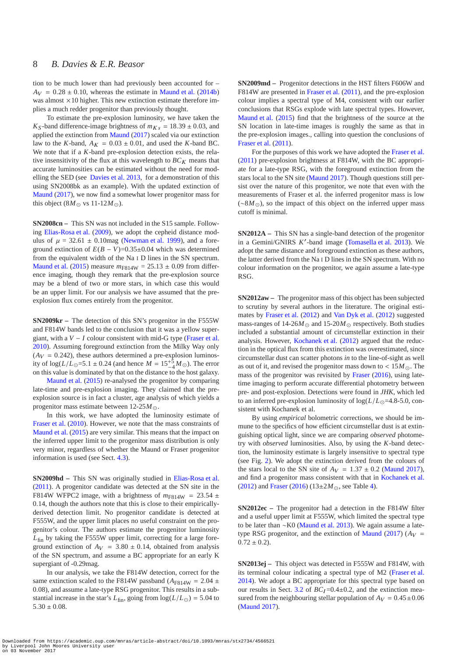tion to be much lower than had previously been accounted for –  $A_V = 0.28 \pm 0.10$ , whereas the estimate in [Maund et al.](#page-13-9) [\(2014b](#page-13-9)) was almost  $\times$  10 higher. This new extinction estimate therefore implies a much redder progenitor than previously thought.

To estimate the pre-explosion luminosity, we have taken the  $K<sub>S</sub>$ -band difference-image brightness of  $m<sub>Ks</sub> = 18.39 \pm 0.03$ , and applied the extinction from [Maund](#page-13-32) [\(2017](#page-13-32)) scaled via our extinction law to the *K*-band,  $A_K = 0.03 \pm 0.01$ , and used the *K*-band BC. We note that if a *K*-band pre-explosion detection exists, the relative insensitivity of the flux at this wavelength to  $BC_K$  means that accurate luminosities can be estimated without the need for modelling the SED (see [Davies et al. 2013](#page-12-2), for a demonstration of this using SN2008bk as an example). With the updated extinction of [Maund](#page-13-32) [\(2017](#page-13-32)), we now find a somewhat lower progenitor mass for this object (8 $M_{\odot}$  vs 11-12 $M_{\odot}$ ).

**SN2008cn –** This SN was not included in the S15 sample. Following [Elias-Rosa et al.](#page-12-15) [\(2009](#page-12-15)), we adopt the cepheid distance modulus of  $\mu = 32.61 \pm 0.10$  mag [\(Newman et al. 1999](#page-13-38)), and a foreground extinction of  $E(B - V) = 0.35 \pm 0.04$  which was determined from the equivalent width of the Na I D lines in the SN spectrum. [Maund et al.](#page-13-33) [\(2015\)](#page-13-33) measure  $m_{F814W} = 25.13 \pm 0.09$  from difference imaging, though they remark that the pre-explosion source may be a blend of two or more stars, in which case this would be an upper limit. For our analysis we have assumed that the preexplosion flux comes entirely from the progenitor.

**SN2009kr –** The detection of this SN's progenitor in the F555W and F814W bands led to the conclusion that it was a yellow supergiant, with a *V* − *I* colour consistent with mid-G type [\(Fraser et al.](#page-13-39) [2010](#page-13-39)). Assuming foreground extinction from the Milky Way only  $(A_V = 0.242)$ , these authors determined a pre-explosion luminosity of  $log(L/L_{\odot} = 5.1 \pm 0.24$  (and hence  $M = 15^{+5} - 4M_{\odot}$ ). The error on this value is dominated by that on the distance to the host galaxy.

[Maund et al.](#page-13-33) [\(2015](#page-13-33)) re-analysed the progenitor by comparing late-time and pre-explosion imaging. They claimed that the preexplosion source is in fact a cluster, age analysis of which yields a progenitor mass estimate between 12-25*M*⊙.

In this work, we have adopted the luminosity estimate of [Fraser et al.](#page-13-39) [\(2010](#page-13-39)). However, we note that the mass constraints of [Maund et al.](#page-13-33) [\(2015](#page-13-33)) are very similar. This means that the impact on the inferred upper limit to the progenitor mass distribution is only very minor, regardless of whether the Maund or Fraser progenitor information is used (see Sect. [4.3\)](#page-9-0).

**SN2009hd –** This SN was originally studied in [Elias-Rosa et al.](#page-12-16) [\(2011](#page-12-16)). A progenitor candidate was detected at the SN site in the F814W WFPC2 image, with a brightness of  $m_{F814W} = 23.54 \pm 10^{-10}$ 0.14, though the authors note that this is close to their empiricallyderived detection limit. No progenitor candidate is detected at F555W, and the upper limit places no useful constraint on the progenitor's colour. The authors estimate the progenitor luminosity *L*fin by taking the F555W upper limit, correcting for a large foreground extinction of  $A_V = 3.80 \pm 0.14$ , obtained from analysis of the SN spectrum, and assume a BC appropriate for an early K supergiant of -0.29mag.

In our analysis, we take the F814W detection, correct for the same extinction scaled to the F814W passband ( $A_{F814W} = 2.04 \pm 1.00$ 0.08), and assume a late-type RSG progenitor. This results in a substantial increase in the star's  $L_{fin}$ , going from  $log(L/L_{\odot}) = 5.04$  to  $5.30 \pm 0.08$ .

**SN2009md –** Progenitor detections in the HST filters F606W and F814W are presented in [Fraser et al.](#page-13-29) [\(2011](#page-13-29)), and the pre-explosion colour implies a spectral type of M4, consistent with our earlier conclusions that RSGs explode with late spectral types. However, [Maund et al.](#page-13-33) [\(2015\)](#page-13-33) find that the brightness of the source at the SN location in late-time images is roughly the same as that in the pre-explosion images., calling into question the conclusions of [Fraser et al.](#page-13-29) [\(2011](#page-13-29)).

For the purposes of this work we have adopted the [Fraser et al.](#page-13-29) [\(2011](#page-13-29)) pre-explosion brightness at F814W, with the BC appropriate for a late-type RSG, with the foreground extinction from the stars local to the SN site [\(Maund 2017](#page-13-32)). Though questions still persist over the nature of this progenitor, we note that even with the measurements of Fraser et al. the inferred progenitor mass is low (∼8*M*⊙), so the impact of this object on the inferred upper mass cutoff is minimal.

**SN2012A –** This SN has a single-band detection of the progenitor in a Gemini/GNIRS *K* ′ -band image [\(Tomasella et al. 2013\)](#page-13-40). We adopt the same distance and foreground extinction as these authors, the latter derived from the Na I D lines in the SN spectrum. With no colour information on the progenitor, we again assume a late-type RSG.

**SN2012aw –** The progenitor mass of this object has been subjected to scrutiny by several authors in the literature. The original estimates by [Fraser et al.](#page-13-41) [\(2012](#page-13-41)) and [Van Dyk et al.](#page-13-42) [\(2012](#page-13-42)) suggested mass-ranges of  $14\n-26M_{\odot}$  and  $15\n-20M_{\odot}$  respectively. Both studies included a substantial amount of circumstellar extinction in their analysis. However, [Kochanek et al.](#page-13-13) [\(2012\)](#page-13-13) argued that the reduction in the optical flux from this extinction was overestimated, since circumstellar dust can scatter photons *in* to the line-of-sight as well as out of it, and revised the progenitor mass down to  $< 15M_{\odot}$ . The mass of the progenitor was revisited by [Fraser](#page-12-17) [\(2016](#page-12-17)), using latetime imaging to perform accurate differential photometry between pre- and post-explosion. Detections were found in *JHK*, which led to an inferred pre-explosion luminosity of  $log(L/L_{\odot} = 4.8 - 5.0,$  consistent with Kochanek et al.

By using *empirical* bolometric corrections, we should be immune to the specifics of how efficient circumstellar dust is at extinguishing optical light, since we are comparing *observed* photometry with *observed* luminosities. Also, by using the *K*-band detection, the luminosity estimate is largely insensitive to spectral type (see Fig. [2\)](#page-6-0). We adopt the extinction derived from the colours of the stars local to the SN site of  $A_V = 1.37 \pm 0.2$  [\(Maund 2017](#page-13-32)), and find a progenitor mass consistent with that in [Kochanek et al.](#page-13-13) [\(2012](#page-13-13)) and [Fraser](#page-12-17) [\(2016](#page-12-17)) (13±2*M*⊙, see Table [4\)](#page-7-0).

**SN2012ec –** The progenitor had a detection in the F814W filter and a useful upper limit at F555W, which limited the spectral type to be later than ∼K0 [\(Maund et al. 2013](#page-13-43)). We again assume a late-type RSG progenitor, and the extinction of [Maund](#page-13-32) [\(2017](#page-13-32)) ( $A_V$  =  $0.72 \pm 0.2$ ).

**SN2013ej –** This object was detected in F555W and F814W, with its terminal colour indicating a spectral type of M2 [\(Fraser et al.](#page-13-31) [2014](#page-13-31)). We adopt a BC appropriate for this spectral type based on our results in Sect. [3.2](#page-5-1) of  $BC_I = 0.4 \pm 0.2$ , and the extinction measured from the neighbouring stellar population of  $A_V = 0.45 \pm 0.06$ [\(Maund 2017\)](#page-13-32).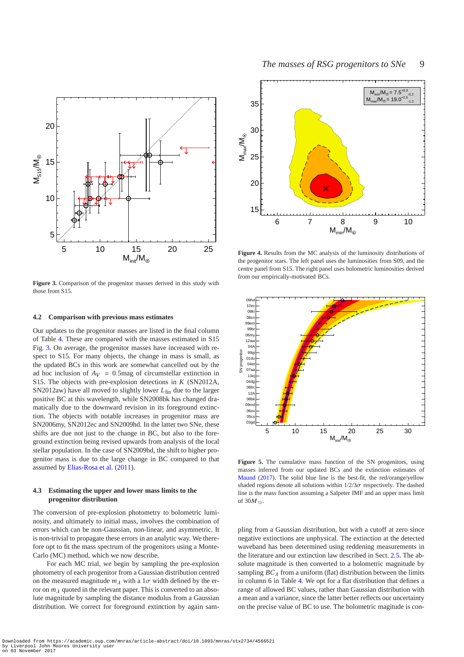

<span id="page-9-1"></span>**Figure 3.** Comparison of the progenitor masses derived in this study with those from S15.

#### **4.2 Comparison with previous mass estimates**

Our updates to the progenitor masses are listed in the final column of Table [4.](#page-7-0) These are compared with the masses estimated in S15 Fig. [3.](#page-9-1) On average, the progenitor masses have increased with respect to S15. For many objects, the change in mass is small, as the updated BCs in this work are somewhat cancelled out by the ad hoc inclusion of  $A_V = 0.5$  mag of circumstellar extinction in S15. The objects with pre-explosion detections in *K* (SN2012A, SN2012aw) have all moved to slightly lower  $L_{fin}$  due to the larger positive BC at this wavelength, while SN2008bk has changed dramatically due to the downward revision in its foreground extinction. The objects with notable increases in progenitor mass are SN2006my, SN2012ec and SN2009hd. In the latter two SNe, these shifts are due not just to the change in BC, but also to the foreground extinction being revised upwards from analysis of the local stellar population. In the case of SN2009hd, the shift to higher progenitor mass is due to the large change in BC compared to that assumed by [Elias-Rosa et al.](#page-12-16) [\(2011](#page-12-16)).

# <span id="page-9-0"></span>**4.3 Estimating the upper and lower mass limits to the progenitor distribution**

The conversion of pre-explosion photometry to bolometric luminosity, and ultimately to initial mass, involves the combination of errors which can be non-Gaussian, non-linear, and asymmetric. It is non-trivial to propagate these errors in an analytic way. We therefore opt to fit the mass spectrum of the progenitors using a Monte-Carlo (MC) method, which we now describe.

For each MC trial, we begin by sampling the pre-explosion photometry of each progenitor from a Gaussian distribution centred on the measured magnitude  $m<sub>\lambda</sub>$  with a 1 $\sigma$  width defined by the error on  $m<sub>\lambda</sub>$  quoted in the relevant paper. This is converted to an absolute magnitude by sampling the distance modulus from a Gaussian distribution. We correct for foreground extinction by again sam-



<span id="page-9-2"></span>**Figure 4.** Results from the MC analysis of the luminosity distributions of the progenitor stars. The left panel uses the luminosities from S09, and the centre panel from S15. The right panel uses bolometric luminosities derived from our empirically-motivated BCs.



<span id="page-9-3"></span>**Figure 5.** The cumulative mass function of the SN progenitors, using masses inferred from our updated BCs and the extinction estimates of [Maund](#page-13-32) [\(2017](#page-13-32)). The solid blue line is the best-fit, the red/orange/yellow shaded regions denote all solutions within  $1/2/3\sigma$  respectively. The dashed line is the mass function assuming a Salpeter IMF and an upper mass limit of  $30M_{\odot}$ .

pling from a Gaussian distribution, but with a cutoff at zero since negative extinctions are unphysical. The extinction at the detected waveband has been determined using reddening measurements in the literature and our extinction law described in Sect. [2.5.](#page-3-1) The absolute magnitude is then converted to a bolometric magnitude by sampling  $BC_{\lambda}$  from a uniform (flat) distribution between the limits in column 6 in Table [4.](#page-7-0) We opt for a flat distribution that defines a range of allowed BC values, rather than Gaussian distribution with a mean and a variance, since the latter better reflects our uncertainty on the precise value of BC to use. The bolometric magitude is con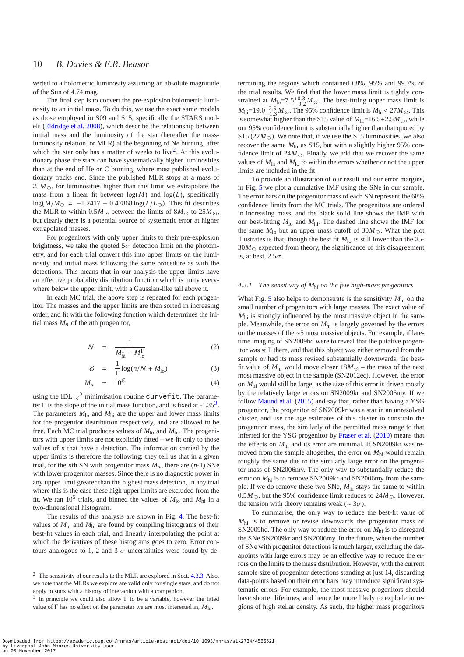verted to a bolometric luminosity assuming an absolute magnitude of the Sun of 4.74 mag.

The final step is to convert the pre-explosion bolometric luminosity to an initial mass. To do this, we use the exact same models as those employed in S09 and S15, specifically the STARS models [\(Eldridge et al. 2008](#page-12-18)), which describe the relationship between initial mass and the luminosity of the star (hereafter the massluminosity relation, or MLR) at the beginning of Ne burning, after which the star only has a matter of weeks to live<sup>[2](#page-10-0)</sup>. At this evolutionary phase the stars can have systematically higher luminosities than at the end of He or C burning, where most published evolutionary tracks end. Since the published MLR stops at a mass of  $25M_{\odot}$ , for luminosities higher than this limit we extrapolate the mass from a linear fit between  $log(M)$  and  $log(L)$ , specifically log( $M/M_{\odot}$  = −1.2417 + 0.47868 log( $L/L_{\odot}$ ). This fit describes the MLR to within  $0.5M_{\odot}$  between the limits of  $8M_{\odot}$  to  $25M_{\odot}$ , but clearly there is a potential source of systematic error at higher extrapolated masses.

For progenitors with only upper limits to their pre-explosion brightness, we take the quoted  $5\sigma$  detection limit on the photometry, and for each trial convert this into upper limits on the luminosity and initial mass following the same procedure as with the detections. This means that in our analysis the upper limits have an effective probability distribution function which is unity everywhere below the upper limit, with a Gaussian-like tail above it.

In each MC trial, the above step is repeated for each progenitor. The masses and the upper limits are then sorted in increasing order, and fit with the following function which determines the initial mass  $M_n$  of the *n*th progenitor,

$$
N = \frac{1}{M_{\text{hi}}^{\Gamma} - M_{\text{lo}}^{\Gamma}}
$$
 (2)

$$
\mathcal{E} = \frac{1}{\Gamma} \log(n/N + M_{\text{lo}}^{\Gamma})
$$
 (3)

$$
M_n = 10^{\mathcal{E}} \tag{4}
$$

using the IDL  $\chi^2$  minimisation routine curvefit. The parameter  $\Gamma$  is the slope of the initial mass function, and is fixed at -1.[3](#page-10-1)5<sup>3</sup>. The parameters  $M_{\text{lo}}$  and  $M_{\text{hi}}$  are the upper and lower mass limits for the progenitor distribution respectively, and are allowed to be free. Each MC trial produces values of  $M_{\text{lo}}$  and  $M_{\text{hi}}$ . The progenitors with upper limits are not explicitly fitted – we fit only to those values of *n* that have a detection. The information carried by the upper limits is therefore the following: they tell us that in a given trial, for the *n*th SN with progenitor mass  $M_n$ , there are  $(n-1)$  SNe with lower progenitor masses. Since there is no diagnostic power in any upper limit greater than the highest mass detection, in any trial where this is the case these high upper limits are excluded from the fit. We ran  $10^5$  trials, and binned the values of  $M_{\text{lo}}$  and  $M_{\text{hi}}$  in a two-dimensional histogram.

The results of this analysis are shown in Fig. [4.](#page-9-2) The best-fit values of *M*lo and *M*hi are found by compiling histograms of their best-fit values in each trial, and linearly interpolating the point at which the derivatives of these histograms goes to zero. Error contours analogous to 1, 2 and 3  $\sigma$  uncertainties were found by determining the regions which contained 68%, 95% and 99.7% of the trial results. We find that the lower mass limit is tightly constrained at  $M_{10} = 7.5^{+0.3}_{-0.2} M_{\odot}$ . The best-fitting upper mass limit is  $M_{\text{hi}} = 19.0^{+2.5}_{-1.3} M_{\odot}$ . The 95% confidence limit is  $M_{\text{hi}} < 27 M_{\odot}$ . This is somewhat higher than the S15 value of  $M_{\text{hi}}=16.5\pm2.5M_{\odot}$ , while our 95% confidence limit is substantially higher than that quoted by S15 (22 $M_{\odot}$ ). We note that, if we use the S15 luminosities, we also recover the same *M*hi as S15, but with a slightly higher 95% confidence limit of  $24M_{\odot}$ . Finally, we add that we recover the same values of *M*hi and *M*lo to within the errors whether or not the upper limits are included in the fit.

To provide an illustration of our result and our error margins, in Fig. [5](#page-9-3) we plot a cumulative IMF using the SNe in our sample. The error bars on the progenitor mass of each SN represent the 68% confidence limits from the MC trials. The progenitors are ordered in increasing mass, and the black solid line shows the IMF with our best-fitting *M*lo and *M*hi. The dashed line shows the IMF for the same  $M_{\text{lo}}$  but an upper mass cutoff of 30 $M_{\odot}$ . What the plot illustrates is that, though the best fit  $M_{\text{lo}}$  is still lower than the 25- $30M_{\odot}$  expected from theory, the significance of this disagreement is, at best,  $2.5\sigma$ .

#### *4.3.1 The sensitivity of M*hi *on the few high-mass progenitors*

What Fig. [5](#page-9-3) also helps to demonstrate is the sensitivity  $M_{\text{hi}}$  on the small number of progenitors with large masses. The exact value of *M*hi is strongly influenced by the most massive object in the sample. Meanwhile, the error on *M*hi is largely governed by the errors on the masses of the ∼5 most massive objects. For example, if latetime imaging of SN2009hd were to reveal that the putative progenitor was still there, and that this object was either removed from the sample or had its mass revised substantially downwards, the bestfit value of  $M_{\text{hi}}$  would move closer  $18M_{\odot}$  – the mass of the next most massive object in the sample (SN2012ec). However, the error on *M*hi would still be large, as the size of this error is driven mostly by the relatively large errors on SN2009kr and SN2006my. If we follow [Maund et al.](#page-13-33) [\(2015](#page-13-33)) and say that, rather than having a YSG progenitor, the progenitor of SN2009kr was a star in an unresolved cluster, and use the age estimates of this cluster to constrain the progenitor mass, the similarly of the permitted mass range to that inferred for the YSG progenitor by [Fraser et al.](#page-13-39) [\(2010\)](#page-13-39) means that the effects on  $M_{\text{hi}}$  and its error are minimal. If SN2009kr was removed from the sample altogether, the error on *M*hi would remain roughly the same due to the similarly large error on the progenitor mass of SN2006my. The only way to substantially reduce the error on  $M_{\text{hi}}$  is to remove SN2009kr and SN2006my from the sample. If we do remove these two SNe, *M*hi stays the same to within 0.5*M*⊙, but the 95% confidence limit reduces to 24*M*⊙. However, the tension with theory remains weak ( $\sim 3\sigma$ ).

To summarise, the only way to reduce the best-fit value of *M*hi is to remove or revise downwards the progenitor mass of SN2009hd. The only way to reduce the error on  $M_{\text{hi}}$  is to disregard the SNe SN2009kr and SN2006my. In the future, when the number of SNe with progenitor detections is much larger, excluding the datapoints with large errors may be an effective way to reduce the errors on the limits to the mass distribution. However, with the current sample size of progenitor detections standing at just 14, discarding data-points based on their error bars may introduce significant systematic errors. For example, the most massive progenitors should have shorter lifetimes, and hence be more likely to explode in regions of high stellar density. As such, the higher mass progenitors

<span id="page-10-0"></span><sup>2</sup> The sensitivity of our results to the MLR are explored in Sect. [4.3.3.](#page-11-0) Also, we note that the MLRs we explore are valid only for single stars, and do not apply to stars with a history of interaction with a companion.

<span id="page-10-1"></span><sup>&</sup>lt;sup>3</sup> In principle we could also allow  $\Gamma$  to be a variable, however the fitted value of  $\Gamma$  has no effect on the parameter we are most interested in,  $M_{\text{hi}}$ .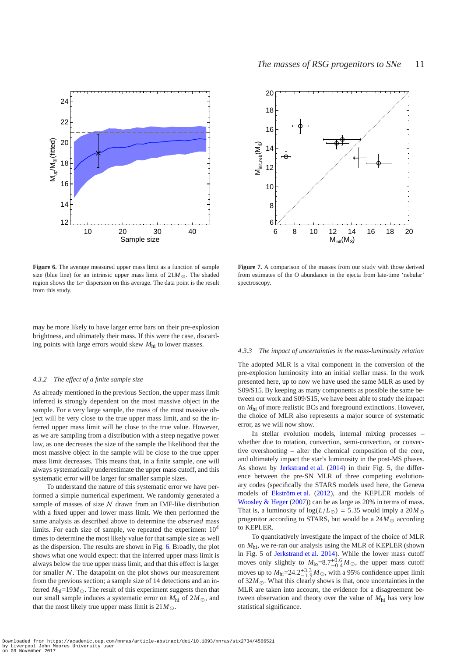

<span id="page-11-1"></span>**Figure 6.** The average measured upper mass limit as a function of sample size (blue line) for an intrinsic upper mass limit of  $21M_{\odot}$ . The shaded region shows the  $1\sigma$  dispersion on this average. The data point is the result from this study.

may be more likely to have larger error bars on their pre-explosion brightness, and ultimately their mass. If this were the case, discarding points with large errors would skew *M*hi to lower masses.

#### *4.3.2 The effect of a finite sample size*

As already mentioned in the previous Section, the upper mass limit inferred is strongly dependent on the most massive object in the sample. For a very large sample, the mass of the most massive object will be very close to the true upper mass limit, and so the inferred upper mass limit will be close to the true value. However, as we are sampling from a distribution with a steep negative power law, as one decreases the size of the sample the likelihood that the most massive object in the sample will be close to the true upper mass limit decreases. This means that, in a finite sample, one will always systematically underestimate the upper mass cutoff, and this systematic error will be larger for smaller sample sizes.

To understand the nature of this systematic error we have performed a simple numerical experiment. We randomly generated a sample of masses of size  $N$  drawn from an IMF-like distribution with a fixed upper and lower mass limit. We then performed the same analysis as described above to determine the *observed* mass limits. For each size of sample, we repeated the experiment  $10<sup>4</sup>$ times to determine the most likely value for that sample size as well as the dispersion. The results are shown in Fig. [6.](#page-11-1) Broadly, the plot shows what one would expect: that the inferred upper mass limit is always below the true upper mass limit, and that this effect is larger for smaller  $N$ . The datapoint on the plot shows our measurement from the previous section; a sample size of 14 detections and an inferred  $M_{\text{hi}}$ =19 $M_{\odot}$ . The result of this experiment suggests then that our small sample induces a systematic error on  $M_{\text{hi}}$  of  $2M_{\odot}$ , and that the most likely true upper mass limit is  $21M_{\odot}$ .



<span id="page-11-2"></span>**Figure 7.** A comparison of the masses from our study with those derived from estimates of the O abundance in the ejecta from late-time 'nebular' spectroscopy.

#### <span id="page-11-0"></span>*4.3.3 The impact of uncertainties in the mass-luminosity relation*

The adopted MLR is a vital component in the conversion of the pre-explosion luminosity into an initial stellar mass. In the work presented here, up to now we have used the same MLR as used by S09/S15. By keeping as many components as possible the same between our work and S09/S15, we have been able to study the impact on *M*hi of more realistic BCs and foreground extinctions. However, the choice of MLR also represents a major source of systematic error, as we will now show.

In stellar evolution models, internal mixing processes – whether due to rotation, convection, semi-convection, or convective overshooting – alter the chemical composition of the core, and ultimately impact the star's luminosity in the post-MS phases. As shown by [Jerkstrand et al.](#page-13-44) [\(2014](#page-13-44)) in their Fig. 5, the difference between the pre-SN MLR of three competing evolutionary codes (specifically the STARS models used here, the Geneva models of [Ekström et al.](#page-12-0) [\(2012\)](#page-12-0), and the KEPLER models of [Woosley & Heger](#page-13-45) [\(2007](#page-13-45))) can be as large as 20% in terms of mass. That is, a luminosity of  $log(L/L_{\odot}) = 5.35$  would imply a 20*M*<sub> $\odot$ </sub> progenitor according to STARS, but would be a  $24M_{\odot}$  according to KEPLER.

To quantitatively investigate the impact of the choice of MLR on *M*hi, we re-ran our analysis using the MLR of KEPLER (shown in Fig. 5 of [Jerkstrand et al. 2014\)](#page-13-44). While the lower mass cutoff moves only slightly to  $M_{10} = 8.7^{+0.6}_{-0.4} M_{\odot}$ , the upper mass cutoff moves up to  $M_{\text{hi}} = 24.2^{+3.3}_{-1.9} M_{\odot}$ , with a 95% confidence upper limit of  $32M_{\odot}$ . What this clearly shows is that, once uncertainties in the MLR are taken into account, the evidence for a disagreement between observation and theory over the value of *M*hi has very low statistical significance.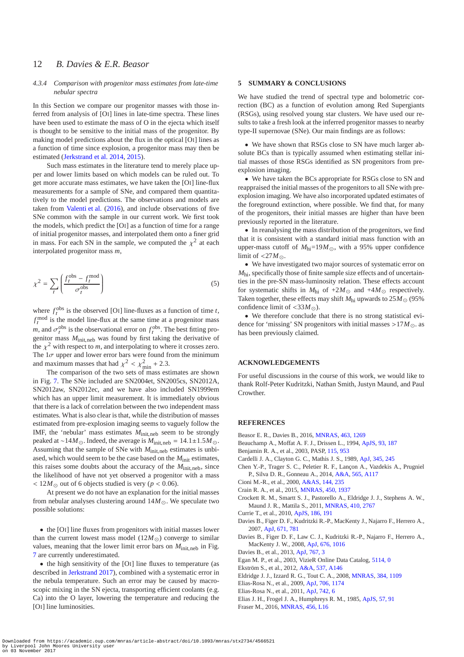# 12 *B. Davies & E.R. Beasor*

#### *4.3.4 Comparison with progenitor mass estimates from late-time nebular spectra*

In this Section we compare our progenitor masses with those inferred from analysis of [OI] lines in late-time spectra. These lines have been used to estimate the mass of O in the ejecta which itself is thought to be sensitive to the initial mass of the progenitor. By making model predictions about the flux in the optical [OI] lines as a function of time since explosion, a progenitor mass may then be estimated [\(Jerkstrand et al. 2014](#page-13-44), [2015\)](#page-13-46).

Such mass estimates in the literature tend to merely place upper and lower limits based on which models can be ruled out. To get more accurate mass estimates, we have taken the [OI] line-flux measurements for a sample of SNe, and compared them quantitatively to the model predictions. The observations and models are taken from [Valenti et al.](#page-13-47) [\(2016\)](#page-13-47), and include observations of five SNe common with the sample in our current work. We first took the models, which predict the [OI] as a function of time for a range of initial progenitor masses, and interpolated them onto a finer grid in mass. For each SN in the sample, we computed the  $\chi^2$  at each interpolated progenitor mass *m*,

$$
\chi^2 = \sum_{t} \left( \frac{f_t^{\text{obs}} - f_t^{\text{mod}}}{\sigma_t^{\text{obs}}} \right) \tag{5}
$$

where  $f_t^{\text{obs}}$  is the observed [OI] line-fluxes as a function of time *t*,  $f_t^{\text{mod}}$  is the model line-flux at the same time at a progenitor mass *m*, and  $\sigma_t^{\text{obs}}$  is the observational error on  $f_t^{\text{obs}}$ . The best fitting progenitor mass *M*init,neb was found by first taking the derivative of the  $\chi^2$  with respect to *m*, and interpolating to where it crosses zero. The  $1\sigma$  upper and lower error bars were found from the minimum and maximum masses that had  $\chi^2 < \chi^2_{\text{min}} + 2.3$ .

The comparison of the two sets of mass estimates are shown in Fig. [7.](#page-11-2) The SNe included are SN2004et, SN2005cs, SN2012A, SN2012aw, SN2012ec, and we have also included SN1999em which has an upper limit measurement. It is immediately obvious that there is a lack of correlation between the two independent mass estimates. What is also clear is that, while the distribution of masses estimated from pre-explosion imaging seems to vaguely follow the IMF, the 'nebular' mass estimates  $M_{init, neb}$  seem to be strongly peaked at ~14*M*<sub>○</sub>. Indeed, the average is  $M_{init, neb} = 14.1 \pm 1.5 M_{\odot}$ . Assuming that the sample of SNe with *M*init,neb estimates is unbiased, which would seem to be the case based on the  $M<sub>init</sub>$  estimates, this raises some doubts about the accuracy of the  $M<sub>init. neb</sub>$ , since the likelihood of have not yet observed a progenitor with a mass  $< 12M_{\odot}$  out of 6 objects studied is very (*p* < 0.06).

At present we do not have an explanation for the initial masses from nebular analyses clustering around  $14M_{\odot}$ . We speculate two possible solutions:

• the [OI] line fluxes from progenitors with initial masses lower than the current lowest mass model  $(12M_{\odot})$  converge to similar values, meaning that the lower limit error bars on  $M_{init, neb}$  in Fig. [7](#page-11-2) are currently underestimated.

• the high sensitivity of the [OI] line fluxes to temperature (as described in [Jerkstrand 2017\)](#page-13-48), combined with a systematic error in the nebula temperature. Such an error may be caused by macroscopic mixing in the SN ejecta, transporting efficient coolants (e.g. Ca) into the O layer, lowering the temperature and reducing the [OI] line luminosities.

# <span id="page-12-5"></span>**5 SUMMARY & CONCLUSIONS**

We have studied the trend of spectral type and bolometric correction (BC) as a function of evolution among Red Supergiants (RSGs), using resolved young star clusters. We have used our results to take a fresh look at the inferred progenitor masses to nearby type-II supernovae (SNe). Our main findings are as follows:

• We have shown that RSGs close to SN have much larger absolute BCs than is typically assumed when estimating stellar initial masses of those RSGs identified as SN progenitors from preexplosion imaging.

• We have taken the BCs appropriate for RSGs close to SN and reappraised the initial masses of the progenitors to all SNe with preexplosion imaging. We have also incorporated updated estimates of the foreground extinction, where possible. We find that, for many of the progenitors, their initial masses are higher than have been previously reported in the literature.

• In reanalysing the mass distribution of the progenitors, we find that it is consistent with a standard initial mass function with an upper-mass cutoff of  $M_{\text{hi}}$ =19 $M_{\odot}$ , with a 95% upper confidence limit of  $\langle 27M_{\odot}$ .

• We have investigated two major sources of systematic error on *M*hi, specifically those of finite sample size effects and of uncertainties in the pre-SN mass-luminosity relation. These effects account for systematic shifts in  $M_{\text{hi}}$  of +2 $M_{\odot}$  and +4 $M_{\odot}$  respectively. Taken together, these effects may shift  $M_{\text{hi}}$  upwards to  $25M_{\odot}$  (95%) confidence limit of <33*M*⊙).

• We therefore conclude that there is no strong statistical evidence for 'missing' SN progenitors with initial masses >17 $M_{\odot}$ . as has been previously claimed.

# **ACKNOWLEDGEMENTS**

For useful discussions in the course of this work, we would like to thank Rolf-Peter Kudritzki, Nathan Smith, Justyn Maund, and Paul Crowther.

# **REFERENCES**

- <span id="page-12-3"></span>Beasor E. R., Davies B., 2016, [MNRAS,](http://dx.doi.org/10.1093/mnras/stw2054) [463, 1269](http://adsabs.harvard.edu/abs/2016MNRAS.463.1269B)
- <span id="page-12-13"></span>Beauchamp A., Moffat A. F. J., Drissen L., 1994, [ApJS,](http://dx.doi.org/10.1086/192051) [93, 187](http://adsabs.harvard.edu/abs/1994ApJS...93..187B)
- <span id="page-12-10"></span>Benjamin R. A., et al., 2003, PASP, [115, 953](http://adsabs.harvard.edu/cgi-bin/nph-bib_query?bibcode=2003PASP..115..953B&db_key=AST)
- <span id="page-12-7"></span>Cardelli J. A., Clayton G. C., Mathis J. S., 1989, [ApJ,](http://dx.doi.org/10.1086/167900) [345, 245](http://adsabs.harvard.edu/abs/1989ApJ...345..245C)
- <span id="page-12-19"></span>Chen Y.-P., Trager S. C., Peletier R. F., Lançon A., Vazdekis A., Prugniel P., Silva D. R., Gonneau A., 2014, [A&A,](http://dx.doi.org/10.1051/0004-6361/201322505) [565, A117](http://adsabs.harvard.edu/abs/2014A%26A...565A.117C)
- <span id="page-12-11"></span>Cioni M.-R., et al., 2000, [A&AS,](http://dx.doi.org/10.1051/aas:2000210) [144, 235](http://cdsads.u-strasbg.fr/abs/2000A%26AS..144..235C)
- <span id="page-12-1"></span>Crain R. A., et al., 2015, [MNRAS,](http://dx.doi.org/10.1093/mnras/stv725) [450, 1937](http://adsabs.harvard.edu/abs/2015MNRAS.450.1937C)
- <span id="page-12-14"></span>Crockett R. M., Smartt S. J., Pastorello A., Eldridge J. J., Stephens A. W., Maund J. R., Mattila S., 2011, [MNRAS,](http://dx.doi.org/10.1111/j.1365-2966.2010.17652.x) [410, 2767](http://adsabs.harvard.edu/abs/2011MNRAS.410.2767C)
- <span id="page-12-6"></span>Currie T., et al., 2010, [ApJS,](http://dx.doi.org/10.1088/0067-0049/186/2/191) [186, 191](http://adsabs.harvard.edu/abs/2010ApJS..186..191C)
- <span id="page-12-9"></span>Davies B., Figer D. F., Kudritzki R.-P., MacKenty J., Najarro F., Herrero A., 2007, [ApJ,](http://dx.doi.org/10.1086/522224) [671, 781](http://adsabs.harvard.edu/abs/2007ApJ...671..781D)
- <span id="page-12-4"></span>Davies B., Figer D. F., Law C. J., Kudritzki R.-P., Najarro F., Herrero A., MacKenty J. W., 2008, [ApJ,](http://dx.doi.org/10.1086/527350) [676, 1016](http://adsabs.harvard.edu/abs/2008ApJ...676.1016D)
- <span id="page-12-2"></span>Davies B., et al., 2013, [ApJ,](http://dx.doi.org/10.1088/0004-637X/767/1/3) [767, 3](http://adsabs.harvard.edu/abs/2013ApJ...767....3D)
- <span id="page-12-8"></span>Egan M. P., et al., 2003, VizieR Online Data Catalog, [5114, 0](http://adsabs.harvard.edu/abs/2003yCat.5114....0E)
- <span id="page-12-0"></span>Ekström S., et al., 2012, [A&A,](http://dx.doi.org/10.1051/0004-6361/201117751) [537, A146](http://adsabs.harvard.edu/abs/2012A%26A...537A.146E)
- <span id="page-12-18"></span>Eldridge J. J., Izzard R. G., Tout C. A., 2008, [MNRAS,](http://dx.doi.org/10.1111/j.1365-2966.2007.12738.x) [384, 1109](http://adsabs.harvard.edu/abs/2008MNRAS.384.1109E)
- <span id="page-12-15"></span>Elias-Rosa N., et al., 2009, [ApJ,](http://dx.doi.org/10.1088/0004-637X/706/2/1174) [706, 1174](http://adsabs.harvard.edu/abs/2009ApJ...706.1174E)
- <span id="page-12-16"></span>Elias-Rosa N., et al., 2011, [ApJ,](http://dx.doi.org/10.1088/0004-637X/742/1/6) [742, 6](http://adsabs.harvard.edu/abs/2011ApJ...742....6E)
- <span id="page-12-12"></span>Elias J. H., Frogel J. A., Humphreys R. M., 1985, [ApJS,](http://dx.doi.org/10.1086/190997) [57, 91](http://adsabs.harvard.edu/cgi-bin/nph-bib_query?bibcode=1985ApJS...57...91E&db_key=AST)
- <span id="page-12-17"></span>Fraser M., 2016, [MNRAS,](http://dx.doi.org/10.1093/mnrasl/slv168) [456, L16](http://adsabs.harvard.edu/abs/2016MNRAS.456L..16F)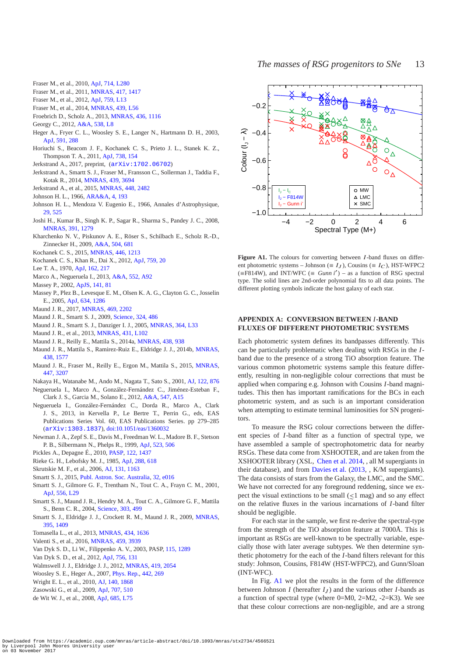- <span id="page-13-39"></span>Fraser M., et al., 2010, [ApJ,](http://dx.doi.org/10.1088/2041-8205/714/2/L280) [714, L280](http://adsabs.harvard.edu/abs/2010ApJ...714L.280F)
- <span id="page-13-29"></span>Fraser M., et al., 2011, [MNRAS,](http://dx.doi.org/10.1111/j.1365-2966.2011.19370.x) [417, 1417](http://adsabs.harvard.edu/abs/2011MNRAS.417.1417F)
- <span id="page-13-41"></span>Fraser M., et al., 2012, [ApJ,](http://dx.doi.org/10.1088/2041-8205/759/1/L13) [759, L13](http://adsabs.harvard.edu/abs/2012ApJ...759L..13F)
- <span id="page-13-31"></span>Fraser M., et al., 2014, [MNRAS,](http://dx.doi.org/10.1093/mnrasl/slt179) [439, L56](http://adsabs.harvard.edu/abs/2014MNRAS.439L..56F)
- <span id="page-13-21"></span>Froebrich D., Scholz A., 2013, [MNRAS,](http://dx.doi.org/10.1093/mnras/stt1633) [436, 1116](http://adsabs.harvard.edu/abs/2013MNRAS.436.1116F)
- <span id="page-13-6"></span>Georgy C., 2012, [A&A,](http://dx.doi.org/10.1051/0004-6361/201118372) [538, L8](http://adsabs.harvard.edu/abs/2012A%26A...538L...8G)
- <span id="page-13-0"></span>Heger A., Fryer C. L., Woosley S. E., Langer N., Hartmann D. H., 2003, [ApJ,](http://dx.doi.org/10.1086/375341) [591, 288](http://adsabs.harvard.edu/cgi-bin/nph-bib_query?bibcode=2003ApJ...591..288H&db_key=AST)
- <span id="page-13-8"></span>Horiuchi S., Beacom J. F., Kochanek C. S., Prieto J. L., Stanek K. Z., Thompson T. A., 2011, [ApJ,](http://dx.doi.org/10.1088/0004-637X/738/2/154) [738, 154](http://adsabs.harvard.edu/abs/2011ApJ...738..154H)
- <span id="page-13-48"></span>Jerkstrand A., 2017, preprint, ([arXiv:1702.06702](http://arxiv.org/abs/1702.06702))
- <span id="page-13-44"></span>Jerkstrand A., Smartt S. J., Fraser M., Fransson C., Sollerman J., Taddia F., Kotak R., 2014, [MNRAS,](http://dx.doi.org/10.1093/mnras/stu221) [439, 3694](http://adsabs.harvard.edu/abs/2014MNRAS.439.3694J)
- <span id="page-13-46"></span>Jerkstrand A., et al., 2015, [MNRAS,](http://dx.doi.org/10.1093/mnras/stv087) [448, 2482](http://adsabs.harvard.edu/abs/2015MNRAS.448.2482J)
- <span id="page-13-14"></span>Johnson H. L., 1966, [ARA&A,](http://dx.doi.org/10.1146/annurev.aa.04.090166.001205) [4, 193](http://adsabs.harvard.edu/abs/1966ARA%26A...4..193J)
- <span id="page-13-27"></span>Johnson H. L., Mendoza V. Eugenio E., 1966, Annales d'Astrophysique, [29, 525](http://adsabs.harvard.edu/abs/1966AnAp...29..525J)
- <span id="page-13-17"></span>Joshi H., Kumar B., Singh K. P., Sagar R., Sharma S., Pandey J. C., 2008, [MNRAS,](http://dx.doi.org/10.1111/j.1365-2966.2008.13936.x) [391, 1279](http://adsabs.harvard.edu/abs/2008MNRAS.391.1279J)
- <span id="page-13-15"></span>Kharchenko N. V., Piskunov A. E., Röser S., Schilbach E., Scholz R.-D., Zinnecker H., 2009, [A&A,](http://dx.doi.org/10.1051/0004-6361/200911979) [504, 681](http://adsabs.harvard.edu/abs/2009A%26A...504..681K)
- <span id="page-13-7"></span>Kochanek C. S., 2015, [MNRAS,](http://dx.doi.org/10.1093/mnras/stu2056) [446, 1213](http://adsabs.harvard.edu/abs/2015MNRAS.446.1213K)
- <span id="page-13-13"></span>Kochanek C. S., Khan R., Dai X., 2012, [ApJ,](http://dx.doi.org/10.1088/0004-637X/759/1/20) [759, 20](http://adsabs.harvard.edu/abs/2012ApJ...759...20K)
- <span id="page-13-28"></span>Lee T. A., 1970, [ApJ,](http://dx.doi.org/10.1086/150648) [162, 217](http://adsabs.harvard.edu/abs/1970ApJ...162..217L)
- <span id="page-13-18"></span>Marco A., Negueruela I., 2013, [A&A,](http://dx.doi.org/10.1051/0004-6361/201220750) [552, A92](http://adsabs.harvard.edu/abs/2013A%26A...552A..92M)
- <span id="page-13-24"></span>Massey P., 2002, [ApJS,](http://dx.doi.org/10.1086/338286) [141, 81](http://adsabs.harvard.edu/abs/2002ApJS..141...81M)
- <span id="page-13-10"></span>Massey P., Plez B., Levesque E. M., Olsen K. A. G., Clayton G. C., Josselin E., 2005, [ApJ,](http://dx.doi.org/10.1086/497065) [634, 1286](http://adsabs.harvard.edu/abs/2005ApJ...634.1286M)
- <span id="page-13-32"></span>Maund J. R., 2017, [MNRAS,](http://dx.doi.org/10.1093/mnras/stx879) [469, 2202](http://adsabs.harvard.edu/abs/2017MNRAS.469.2202M)
- <span id="page-13-3"></span>Maund J. R., Smartt S. J., 2009, [Science,](http://dx.doi.org/10.1126/science.1170198) [324, 486](http://adsabs.harvard.edu/abs/2009Sci...324..486M)
- <span id="page-13-37"></span>Maund J. R., Smartt S. J., Danziger I. J., 2005, [MNRAS,](http://dx.doi.org/10.1111/j.1745-3933.2005.00100.x) [364, L33](http://adsabs.harvard.edu/cgi-bin/nph-bib_query?bibcode=2005MNRAS.364L..33M&db_key=AST)
- <span id="page-13-43"></span>Maund J. R., et al., 2013, [MNRAS,](http://dx.doi.org/10.1093/mnrasl/slt017) [431, L102](http://adsabs.harvard.edu/abs/2013MNRAS.431L.102M)
- <span id="page-13-35"></span>Maund J. R., Reilly E., Mattila S., 2014a, [MNRAS,](http://dx.doi.org/10.1093/mnras/stt2131) [438, 938](http://adsabs.harvard.edu/abs/2014MNRAS.438..938M)
- <span id="page-13-9"></span>Maund J. R., Mattila S., Ramirez-Ruiz E., Eldridge J. J., 2014b, [MNRAS,](http://dx.doi.org/10.1093/mnras/stt2296) [438, 1577](http://adsabs.harvard.edu/abs/2014MNRAS.438.1577M)
- <span id="page-13-33"></span>Maund J. R., Fraser M., Reilly E., Ergon M., Mattila S., 2015, [MNRAS,](http://dx.doi.org/10.1093/mnras/stu2658) [447, 3207](http://adsabs.harvard.edu/abs/2015MNRAS.447.3207M)
- <span id="page-13-20"></span>Nakaya H., Watanabe M., Ando M., Nagata T., Sato S., 2001, [AJ,](http://dx.doi.org/10.1086/321178) [122, 876](http://adsabs.harvard.edu/cgi-bin/nph-bib_query?bibcode=2001AJ....122..876N&db_key=AST)
- <span id="page-13-22"></span>Negueruela I., Marco A., González-Fernández C., Jiménez-Esteban F., Clark J. S., Garcia M., Solano E., 2012, [A&A,](http://dx.doi.org/10.1051/0004-6361/201219540) [547, A15](http://adsabs.harvard.edu/abs/2012A%26A...547A..15N)
- <span id="page-13-23"></span>Negueruela I., González-Fernández C., Dorda R., Marco A., Clark J. S., 2013, in Kervella P., Le Bertre T., Perrin G., eds, EAS Publications Series Vol. 60, EAS Publications Series. pp 279–285 ([arXiv:1303.1837](http://arxiv.org/abs/1303.1837)), [doi:10.1051/eas/1360032](http://dx.doi.org/10.1051/eas/1360032)
- <span id="page-13-38"></span>Newman J. A., Zepf S. E., Davis M., Freedman W. L., Madore B. F., Stetson P. B., Silbermann N., Phelps R., 1999, [ApJ,](http://dx.doi.org/10.1086/307764) [523, 506](http://adsabs.harvard.edu/abs/1999ApJ...523..506N)
- <span id="page-13-16"></span>Pickles A., Depagne É., 2010, [PASP,](http://dx.doi.org/10.1086/657947) [122, 1437](http://adsabs.harvard.edu/abs/2010PASP..122.1437P)
- <span id="page-13-26"></span>Rieke G. H., Lebofsky M. J., 1985, [ApJ,](http://dx.doi.org/10.1086/162827) [288, 618](http://adsabs.harvard.edu/cgi-bin/nph-bib_query?bibcode=1985ApJ...288..618R&db_key=AST)
- <span id="page-13-19"></span>Skrutskie M. F., et al., 2006, [AJ,](http://dx.doi.org/10.1086/498708) [131, 1163](http://adsabs.harvard.edu/abs/2006AJ....131.1163S)
- <span id="page-13-4"></span>Smartt S. J., 2015, [Publ. Astron. Soc. Australia,](http://dx.doi.org/10.1017/pasa.2015.17) [32, e016](http://adsabs.harvard.edu/abs/2015PASA...32...16S)
- <span id="page-13-1"></span>Smartt S. J., Gilmore G. F., Trentham N., Tout C. A., Frayn C. M., 2001, [ApJ,](http://dx.doi.org/10.1086/322868) [556, L29](http://adsabs.harvard.edu/abs/2001ApJ...556L..29S)
- <span id="page-13-2"></span>Smartt S. J., Maund J. R., Hendry M. A., Tout C. A., Gilmore G. F., Mattila S., Benn C. R., 2004, [Science,](http://dx.doi.org/10.1126/science.1092967) [303, 499](http://adsabs.harvard.edu/cgi-bin/nph-bib_query?bibcode=2004Sci...303..499S&db_key=AST)
- <span id="page-13-5"></span>Smartt S. J., Eldridge J. J., Crockett R. M., Maund J. R., 2009, [MNRAS,](http://dx.doi.org/10.1111/j.1365-2966.2009.14506.x) [395, 1409](http://adsabs.harvard.edu/abs/2009MNRAS.395.1409S)
- <span id="page-13-40"></span>Tomasella L., et al., 2013, [MNRAS,](http://dx.doi.org/10.1093/mnras/stt1130) [434, 1636](http://adsabs.harvard.edu/abs/2013MNRAS.434.1636T)
- <span id="page-13-47"></span>Valenti S., et al., 2016, [MNRAS,](http://dx.doi.org/10.1093/mnras/stw870) [459, 3939](http://adsabs.harvard.edu/abs/2016MNRAS.459.3939V)
- <span id="page-13-30"></span>Van Dyk S. D., Li W., Filippenko A. V., 2003, PASP, [115, 1289](http://adsabs.harvard.edu/cgi-bin/nph-bib_query?bibcode=2003PASP..115.1289V&db_key=AST)
- <span id="page-13-42"></span>Van Dyk S. D., et al., 2012, [ApJ,](http://dx.doi.org/10.1088/0004-637X/756/2/131) [756, 131](http://adsabs.harvard.edu/abs/2012ApJ...756..131V)
- <span id="page-13-12"></span>Walmswell J. J., Eldridge J. J., 2012, [MNRAS,](http://dx.doi.org/10.1111/j.1365-2966.2011.19860.x) [419, 2054](http://adsabs.harvard.edu/abs/2012MNRAS.419.2054W)
- <span id="page-13-45"></span>Woosley S. E., Heger A., 2007, [Phys. Rep.,](http://dx.doi.org/10.1016/j.physrep.2007.02.009) [442, 269](http://adsabs.harvard.edu/abs/2007PhR...442..269W)
- <span id="page-13-25"></span>Wright E. L., et al., 2010, [AJ,](http://dx.doi.org/10.1088/0004-6256/140/6/1868) [140, 1868](http://adsabs.harvard.edu/abs/2010AJ....140.1868W)
- <span id="page-13-34"></span>Zasowski G., et al., 2009, [ApJ,](http://dx.doi.org/10.1088/0004-637X/707/1/510) [707, 510](http://adsabs.harvard.edu/abs/2009ApJ...707..510Z)
- <span id="page-13-11"></span>de Wit W. J., et al., 2008, [ApJ,](http://dx.doi.org/10.1086/592384) [685, L75](http://adsabs.harvard.edu/abs/2008ApJ...685L..75D)



<span id="page-13-36"></span>Figure A1. The colours for converting between *I*-band fluxes on different photometric systems – Johnson ( $\equiv I_J$ ), Cousins ( $\equiv I_C$ ), HST-WFPC2 (≡F814W), and INT/WFC ( $\equiv$  *Gunn i'*) – as a function of RSG spectral type. The solid lines are 2nd-order polynomial fits to all data points. The different plotting symbols indicate the host galaxy of each star.

# **APPENDIX A: CONVERSION BETWEEN** *I***-BAND FLUXES OF DIFFERENT PHOTOMETRIC SYSTEMS**

Each photometric system defines its bandpasses differently. This can be particularly problematic when dealing with RSGs in the *I*band due to the presence of a strong TiO absorption feature. The various common photometric systems sample this feature differently, resulting in non-negligible colour corrections that must be applied when comparing e.g. Johnson with Cousins *I*-band magnitudes. This then has important ramifications for the BCs in each photometric system, and as such is an important consideration when attempting to estimate terminal luminosities for SN progenitors.

To measure the RSG colour corrections between the different species of *I*-band filter as a function of spectral type, we have assembled a sample of spectrophotometric data for nearby RSGs. These data come from XSHOOTER, and are taken from the XSHOOTER library (XSL, [Chen et al. 2014](#page-12-19), , all M supergiants in their database), and from [Davies et al.](#page-12-2) [\(2013](#page-12-2), , K/M supergiants). The data consists of stars from the Galaxy, the LMC, and the SMC. We have not corrected for any foreground reddening, since we expect the visual extinctions to be small ( $\leq$ 1 mag) and so any effect on the relative fluxes in the various incarnations of *I*-band filter should be negligible.

For each star in the sample, we first re-derive the spectral-type from the strength of the TiO absorption feature at 7000Å. This is important as RSGs are well-known to be spectrally variable, especially those with later average subtypes. We then determine synthetic photometry for the each of the *I*-band filters relevant for this study: Johnson, Cousins, F814W (HST-WFPC2), and Gunn/Sloan (INT-WFC).

In Fig. [A1](#page-13-36) we plot the results in the form of the difference between Johnson  $I$  (hereafter  $I_J$ ) and the various other  $I$ -bands as a function of spectral type (where  $0=M_0$ ,  $2=M_2$ ,  $-2=K_3$ ). We see that these colour corrections are non-negligible, and are a strong